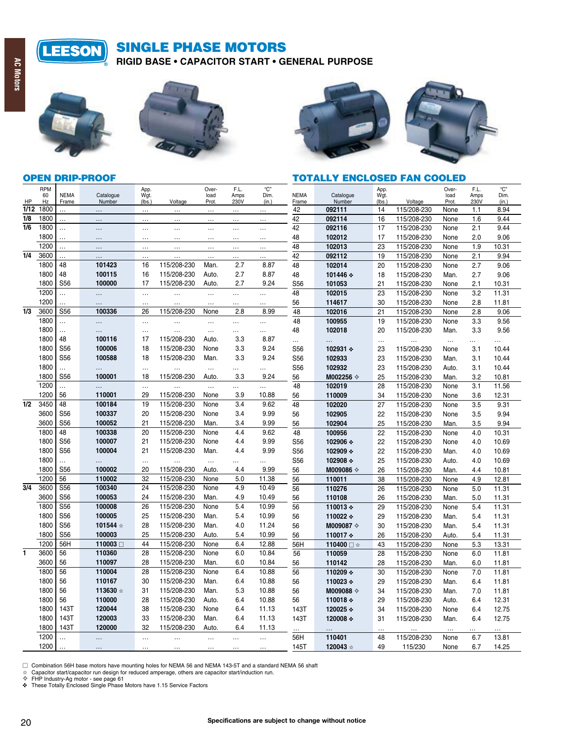**SINGLE PHASE MOTORS**

**RIGID BASE • CAPACITOR START • GENERAL PURPOSE** 







# **OPEN DRIP-PROOF**

|                   |                        |                      | <b>OPEN DRIP-PROOF</b> |                        |                            |                        |                      |                      |                      | <b>TOTALLY ENCLOSED FAN COOLED</b> |                       |                            |                        |                      |                      |
|-------------------|------------------------|----------------------|------------------------|------------------------|----------------------------|------------------------|----------------------|----------------------|----------------------|------------------------------------|-----------------------|----------------------------|------------------------|----------------------|----------------------|
| HP                | <b>RPM</b><br>60<br>Hz | <b>NEMA</b><br>Frame | Catalogue<br>Number    | App.<br>Wgt.<br>(lbs.) | Voltage                    | Over-<br>load<br>Prot. | F.L.<br>Amps<br>230V | "С"<br>Dim.<br>(in.) | <b>NEMA</b><br>Frame | Catalogue<br>Number                | App.<br>Wgt.<br>(lbs. | Voltage                    | Over-<br>load<br>Prot. | F.L.<br>Amps<br>230V | "C"<br>Dim.<br>(in.) |
| $\overline{1/12}$ | 1800                   | .                    | $\cdots$               | $\ldots$               | $\ldots$                   | $\ldots$               | $\ldots$             | $\cdots$             | 42                   | 092111                             | 14                    | 115/208-230                | None                   | 1.1                  | 8.94                 |
| 1/8               | 1800                   | $\ddotsc$            | $\ldots$               | $\ldots$               | $\cdots$                   | $\cdots$               | $\ldots$             |                      | 42                   | 092114                             | 16                    | 115/208-230                | None                   | 1.6                  | 9.44                 |
| 1/6               | 1800                   |                      | $\ddotsc$              | $\ddots$               | $\cdots$                   | $\cdots$               | $\ddotsc$            | $\cdots$             | 42                   | 092116                             | 17                    | 115/208-230                | None                   | 2.1                  | 9.44                 |
|                   | 1800                   | .                    | $\ddotsc$              | $\cdots$               | $\cdots$                   |                        | .                    | .                    | 48                   | 102012                             | 17                    | 115/208-230                | None                   | 2.0                  | 9.06                 |
|                   | 1200                   | .                    | $\sim$                 | $\ldots$               | $\sim$                     | .                      | $\sim$               |                      | 48                   | 102013                             | 23                    | 115/208-230                | None                   | 1.9                  | 10.31                |
| 1/4               | 3600                   | .                    | $\ddotsc$              | $\ddotsc$              | .                          | $\ddotsc$              | $\ddotsc$            |                      | 42                   | 092112                             | 19                    | 115/208-230                | None                   | 2.1                  | 9.94                 |
|                   | 1800                   | 48                   | 101423                 | 16                     | 115/208-230                | Man.                   | 2.7                  | 8.87                 | 48                   | 102014                             | 20                    | 115/208-230                | None                   | 2.7                  | 9.06                 |
|                   | 1800                   | 48                   | 100115                 | 16                     | 115/208-230                | Auto.                  | 2.7                  | 8.87                 | 48                   | $101446 -$                         | 18                    | 115/208-230                | Man.                   | 2.7                  | 9.06                 |
|                   | 1800                   | S <sub>56</sub>      | 100000                 | 17                     | 115/208-230                | Auto.                  | 2.7                  | 9.24                 | S <sub>56</sub>      | 101053                             | 21                    | 115/208-230                | None                   | 2.1                  | 10.31                |
|                   | 1200                   | .                    | $\sim$                 | $\ldots$               | $\cdots$                   | $\sim$                 | .                    |                      | 48                   | 102015                             | 23                    | 115/208-230                | None                   | 3.2                  | 11.31                |
|                   | 1200                   | .                    |                        | $\ddotsc$              |                            | .                      | .                    |                      | 56                   | 114617                             | 30                    | 115/208-230                | None                   | 2.8                  | 11.81                |
| 1/3               | 3600                   | S56                  | 100336                 | 26                     | 115/208-230                | None                   | 2.8                  | 8.99                 | 48                   | 102016                             | 21                    | 115/208-230                | None                   | 2.8                  | 9.06                 |
|                   | 1800                   | .                    | $\cdots$               | $\ddots$               | $\ddotsc$                  | $\ddotsc$              | $\cdots$             | $\cdots$             | 48                   | 100955                             | 19                    | 115/208-230                | None                   | 3.3                  | 9.56                 |
|                   | 1800                   | $\cdots$             | $\ddotsc$              | $\ddotsc$              | $\cdots$                   | $\ddotsc$              | .                    | .                    | 48                   | 102018                             | 20                    | 115/208-230                | Man.                   | 3.3                  | 9.56                 |
|                   | 1800                   | 48                   | 100116                 | 17                     | 115/208-230                | Auto.                  | 3.3                  | 8.87                 | $\cdots$             | $\ddotsc$                          | $\ldots$              | $\ddotsc$                  | $\ddotsc$              |                      |                      |
|                   | 1800                   | S56                  | 100006                 | 18                     | 115/208-230                | None                   | 3.3                  | 9.24                 | S <sub>56</sub>      | 102931 +                           | 23                    | 115/208-230                | None                   | 3.1                  | 10.44                |
|                   | 1800                   | S56                  | 100588                 | 18                     | 115/208-230                | Man.                   | 3.3                  | 9.24                 | S <sub>56</sub>      | 102933                             | 23                    | 115/208-230                | Man.                   | 3.1                  | 10.44                |
|                   | 1800                   | $\cdots$             | $\ddotsc$              | $\ddotsc$              | $\ddotsc$                  | $\cdots$               | $\cdots$             | $\cdots$             | S <sub>56</sub>      | 102932                             | 23                    | 115/208-230                | Auto.                  | 3.1                  | 10.44                |
|                   | 1800                   | S <sub>56</sub>      | 100001                 | 18                     | 115/208-230                | Auto.                  | 3.3                  | 9.24                 | 56                   | M002256 $\diamond$                 | 25                    | 115/208-230                | Man.                   | 3.2                  | 10.81                |
|                   | 1200                   | .                    | $\ddotsc$              | $\ddotsc$              |                            | $\ddotsc$              | .                    |                      | 48                   | 102019                             | 28                    | 115/208-230                | None                   | 3.1                  | 11.56                |
|                   | 1200                   | 56                   | 110001                 | 29                     | 115/208-230                | None                   | 3.9                  | 10.88                | 56                   | 110009                             | 34                    | 115/208-230                | None                   | 3.6                  | 12.31                |
| 1/2               | 3450                   | 48                   | 100184                 | 19                     | 115/208-230                | None                   | 3.4                  | 9.62                 | 48                   | 102020                             | 27                    | 115/208-230                | None                   | 3.5                  | 9.31                 |
|                   | 3600                   | S56                  | 100337                 | 20                     | 115/208-230                | None                   | 3.4                  | 9.99                 | 56                   | 102905                             | 22                    | 115/208-230                | None                   | 3.5                  | 9.94                 |
|                   | 3600                   | S56                  | 100052                 | 21                     | 115/208-230                | Man.                   | 3.4                  | 9.99                 | 56                   | 102904                             | 25                    | 115/208-230                | Man.                   | 3.5                  | 9.94                 |
|                   | 1800                   | 48                   | 100338                 | 20                     | 115/208-230                | None                   | 4.4                  | 9.62                 | 48                   | 100956                             | 22                    | 115/208-230                | None                   | 4.0                  | 10.31                |
|                   | 1800                   | S56                  | 100007                 | 21                     | 115/208-230                | None                   | 4.4                  | 9.99                 | S56                  | 102906 ÷                           | 22                    | 115/208-230                | None                   | 4.0                  | 10.69                |
|                   | 1800                   | S56                  | 100004                 | 21                     | 115/208-230                | Man.                   | 4.4                  | 9.99                 | S <sub>56</sub>      | 102909 +                           | 22                    | 115/208-230                | Man.                   | 4.0                  | 10.69                |
|                   | 1800                   | $\cdots$             | $\cdots$<br>100002     | $\ddotsc$              | $\cdots$                   | $\sim$ $\sim$          | .                    | $\cdots$             | S <sub>56</sub>      | 102908 +                           | 25                    | 115/208-230                | Auto.                  | 4.0                  | 10.69                |
|                   | 1800                   | S56                  |                        | 20                     | 115/208-230                | Auto.                  | 4.4                  | 9.99                 | 56                   | M009086 $\diamond$                 | 26                    | 115/208-230                | Man.                   | 4.4                  | 10.81                |
| 3/4               | 1200<br>3600           | 56<br>S56            | 110002<br>100340       | 32<br>24               | 115/208-230<br>115/208-230 | None<br>None           | 5.0<br>4.9           | 11.38<br>10.49       | 56                   | 110011                             | 38                    | 115/208-230                | None                   | 4.9                  | 12.81                |
|                   | 3600                   | S56                  | 100053                 | 24                     | 115/208-230                | Man.                   | 4.9                  | 10.49                | 56                   | 110276                             | 26<br>26              | 115/208-230                | None                   | 5.0                  | 11.31                |
|                   | 1800                   | S56                  | 100008                 | 26                     | 115/208-230                | None                   | 5.4                  | 10.99                | 56<br>56             | 110108<br>110013 +                 | 29                    | 115/208-230<br>115/208-230 | Man.<br>None           | 5.0<br>5.4           | 11.31                |
|                   | 1800                   | S56                  | 100005                 | 25                     | 115/208-230                | Man.                   | 5.4                  | 10.99                | 56                   | 110022 +                           | 29                    | 115/208-230                | Man.                   | 5.4                  | 11.31<br>11.31       |
|                   | 1800                   | S56                  | 101544 *               | 28                     | 115/208-230                | Man.                   | 4.0                  | 11.24                | 56                   | M009087 $\diamond$                 | 30                    | 115/208-230                | Man.                   | 5.4                  | 11.31                |
|                   | 1800                   | S56                  | 100003                 | 25                     | 115/208-230                | Auto.                  | 5.4                  | 10.99                | 56                   | 110017 +                           | 26                    | 115/208-230                | Auto.                  | 5.4                  | 11.31                |
|                   | 1200                   | 56H                  | 110003 □               | 44                     | 115/208-230                | None                   | 6.4                  | 12.88                | 56H                  | 110400 □ ☆                         | 43                    | 115/208-230                | None                   | 5.3                  | 13.31                |
| $\overline{1}$    | 3600                   | 56                   | 110360                 | 28                     | 115/208-230                | None                   | 6.0                  | 10.84                | 56                   | 110059                             | 28                    | 115/208-230                | None                   | 6.0                  | 11.81                |
|                   | 3600                   | 56                   | 110097                 | 28                     | 115/208-230                | Man.                   | 6.0                  | 10.84                | 56                   | 110142                             | 28                    | 115/208-230                | Man.                   | 6.0                  | 11.81                |
|                   | 1800                   | 56                   | 110004                 | 28                     | 115/208-230                | None                   | 6.4                  | 10.88                | 56                   | 110209 +                           | 30                    | 115/208-230                | None                   | 7.0                  | 11.81                |
|                   | 1800                   | 56                   | 110167                 | 30                     | 115/208-230                | Man.                   | 6.4                  | 10.88                | 56                   | 110023 +                           | 29                    | 115/208-230                | Man.                   | 6.4                  | 11.81                |
|                   | 1800                   | 56                   | 113630 ☆               | 31                     | 115/208-230                | Man.                   | 5.3                  | 10.88                | 56                   | M009088 $\diamond$                 | 34                    | 115/208-230                | Man.                   | 7.0                  | 11.81                |
|                   | 1800                   | 56                   | 110000                 | 28                     | 115/208-230                | Auto.                  | 6.4                  | 10.88                | 56                   | 110018 +                           | 29                    | 115/208-230                | Auto.                  | 6.4                  | 12.31                |
|                   | 1800                   | 143T                 | 120044                 | 38                     | 115/208-230                | None                   | 6.4                  | 11.13                | 143T                 | 120025 +                           | 34                    | 115/208-230                | None                   | 6.4                  | 12.75                |
|                   | 1800                   | 143T                 | 120003                 | 33                     | 115/208-230                | Man.                   | 6.4                  | 11.13                | 143T                 | 120008 +                           | 31                    | 115/208-230                | Man.                   | 6.4                  | 12.75                |
|                   | 1800                   | 143T                 | 120000                 | 32                     | 115/208-230                | Auto.                  | 6.4                  | 11.13                | $\ddotsc$            |                                    | $\ddot{\phantom{a}}$  |                            | $\cdots$               | .                    |                      |
|                   | 1200                   | .                    | $\ldots$               | $\ddotsc$              |                            | $\cdots$               | .                    | $\cdots$             | 56H                  | 110401                             | 48                    | 115/208-230                | None                   | 6.7                  | 13.81                |
|                   | 1200                   | .                    | $\cdots$               | $\ldots$               | $\cdots$                   | $\ldots$               | $\cdots$             | $\cdots$             | 145T                 | 120043 *                           | 49                    | 115/230                    | None                   | 6.7                  | 14.25                |
|                   |                        |                      |                        |                        |                            |                        |                      |                      |                      |                                    |                       |                            |                        |                      |                      |

□ Combination 56H base motors have mounting holes for NEMA 56 and NEMA 143-5T and a standard NEMA 56 shaft<br>☆ Capacitor start/capacitor run design for reduced amperage, others are capacitor start/induction run.<br>☆ FHP Indu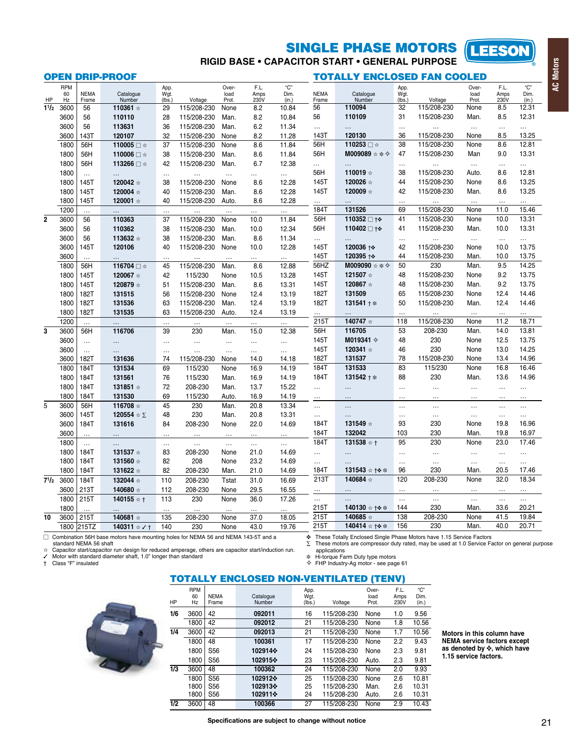# **SINGLE PHASE MOTORS**<br>RIGID BASE • CAPACITOR START • GENERAL PURPOSE **LEESON**

|                           |                        |                      | <b>OPEN DRIP-PROOF</b>      |                       |             |                        |                      |                      |                      | <b>TOTALLY ENCLOSED FAN COOLED</b>     |                       |             |                        |                      |                      |
|---------------------------|------------------------|----------------------|-----------------------------|-----------------------|-------------|------------------------|----------------------|----------------------|----------------------|----------------------------------------|-----------------------|-------------|------------------------|----------------------|----------------------|
| HP                        | <b>RPM</b><br>60<br>Hz | <b>NEMA</b><br>Frame | Catalogue<br>Number         | App.<br>Wgt.<br>(lbs. | Voltage     | Over-<br>load<br>Prot. | F.L.<br>Amps<br>230V | "C"<br>Dim.<br>(in.) | <b>NEMA</b><br>Frame | Catalogue<br>Number                    | App.<br>Wgt.<br>(lbs. | Voltage     | Over-<br>load<br>Prot. | F.L.<br>Amps<br>230V | "C"<br>Dim.<br>(in.) |
| 11/2                      | 3600                   | 56                   | 110361 *                    | 29                    | 115/208-230 | None                   | 8.2                  | 10.84                | 56                   | 110094                                 | 32                    | 115/208-230 | None                   | 8.5                  | 12.31                |
|                           | 3600                   | 56                   | 110110                      | 28                    | 115/208-230 | Man.                   | 8.2                  | 10.84                | 56                   | 110109                                 | 31                    | 115/208-230 | Man.                   | 8.5                  | 12.31                |
|                           | 3600                   | 56                   | 113631                      | 36                    | 115/208-230 | Man.                   | 6.2                  | 11.34                | $\cdots$             | $\ddotsc$                              | $\ldots$              | $\cdots$    | $\ldots$               | $\cdots$             | $\cdots$             |
|                           | 3600                   | 143T                 | 120107                      | 32                    | 115/208-230 | None                   | 8.2                  | 11.28                | 143T                 | 120130                                 | 36                    | 115/208-230 | None                   | 8.5                  | 13.25                |
|                           | 1800                   | 56H                  | 110005 □ ☆                  | 37                    | 115/208-230 | None                   | 8.6                  | 11.84                | 56H                  | 110253 □ ☆                             | 38                    | 115/208-230 | None                   | 8.6                  | 12.81                |
|                           | 1800                   | 56H                  | 110006 □ ☆                  | 38                    | 115/208-230 | Man.                   | 8.6                  | 11.84                | 56H                  | M009089 $\Leftrightarrow$ * $\diamond$ | 47                    | 115/208-230 | Man                    | 9.0                  | 13.31                |
|                           | 1800                   | 56H                  | 113266 □ ☆                  | 42                    | 115/208-230 | Man.                   | 6.7                  | 12.38                | $\ddotsc$            | $\ddotsc$                              | $\ddotsc$             | $\cdots$    | $\ldots$               | $\cdots$             | $\cdots$             |
|                           | 1800                   | $\cdots$             | $\cdots$                    | $\sim$                | $\cdots$    | $\sim$                 |                      | $\ldots$             | 56H                  | 110019 *                               | 38                    | 115/208-230 | Auto.                  | 8.6                  | 12.81                |
|                           | 1800                   | 145T                 | 120042 *                    | 38                    | 115/208-230 | None                   | 8.6                  | 12.28                | 145T                 | 120026 ☆                               | 44                    | 115/208-230 | None                   | 8.6                  | 13.25                |
|                           | 1800                   | 145T                 | 120004 *                    | 40                    | 115/208-230 | Man.                   | 8.6                  | 12.28                | 145T                 | 120009 *                               | 42                    | 115/208-230 | Man.                   | 8.6                  | 13.25                |
|                           | 1800                   | 145T                 | 120001 *                    | 40                    | 115/208-230 | Auto.                  | 8.6                  | 12.28                | $\cdots$             | $\cdots$                               | $\ddotsc$             | .           | $\ldots$               | $\ddotsc$            | $\cdots$             |
|                           | 1200                   | $\cdots$             | Ш.                          | $\sim$                | $\sim$      | $\ldots$               | $\ddotsc$            | $\ddotsc$            | 184T                 | 131526                                 | 69                    | 115/208-230 | None                   | 11.0                 | 15.46                |
| $\overline{\mathbf{2}}$   | 3600                   | 56                   | 110363                      | 37                    | 115/208-230 | None                   | 10.0                 | 11.84                | 56H                  | 110352 □ †÷                            | 41                    | 115/208-230 | None                   | 10.0                 | 13.31                |
|                           | 3600                   | 56                   | 110362                      | 38                    | 115/208-230 | Man.                   | 10.0                 | 12.34                | 56H                  | 110402 □ †÷                            | 41                    | 115/208-230 | Man.                   | 10.0                 | 13.31                |
|                           | 3600                   | 56                   | 113632 *                    | 38                    | 115/208-230 | Man.                   | 8.6                  | 11.34                | $\ddotsc$            | $\cdots$                               | $\sim$                | $\ddotsc$   | $\sim$                 | $\ldots$             |                      |
|                           | 3600                   | 145T                 | 120106                      | 40                    | 115/208-230 | None                   | 10.0                 | 12.28                | 145T                 | 120036 ++                              | 42                    | 115/208-230 | None                   | 10.0                 | 13.75                |
|                           | 3600                   | $\ddotsc$            |                             | $\ddotsc$             |             | $\cdots$               |                      |                      | 145T                 | 120395 ++                              | 44                    | 115/208-230 | Man.                   | 10.0                 | 13.75                |
|                           | 1800                   | 56H                  | 116704 □ ☆                  | 45                    | 115/208-230 | Man.                   | 8.6                  | 12.88                | 56HZ                 | M009090 $\phi * \Diamond$              | 50                    | 230         | Man.                   | 9.5                  | 14.25                |
|                           | 1800                   | 145T                 | 120067 *                    | 42                    | 115/230     | None                   | 10.5                 | 13.28                | 145T                 | 121507 *                               | 48                    | 115/208-230 | None                   | 9.2                  | 13.75                |
|                           | 1800                   | 145T                 | 120879 *                    | 51                    | 115/208-230 | Man.                   | 8.6                  | 13.31                | 145T                 | 120867 *                               | 48                    | 115/208-230 | Man.                   | 9.2                  | 13.75                |
|                           | 1800                   | 182T                 | 131515                      | 56                    | 115/208-230 | None                   | 12.4                 | 13.19                | 182T                 | 131509                                 | 65                    | 115/208-230 | None                   | 12.4                 | 14.46                |
|                           | 1800                   | 182T                 | 131536                      | 63                    | 115/208-230 | Man.                   | 12.4                 | 13.19                | 182T                 | 131541 + $*$                           | 50                    | 115/208-230 | Man.                   | 12.4                 | 14.46                |
|                           | 1800                   | 182T                 | 131535                      | 63                    | 115/208-230 | Auto.                  | 12.4                 | 13.19                |                      |                                        | $\sim$                |             | $\ddotsc$              | $\ddotsc$            |                      |
|                           | 1200                   |                      | $\ddotsc$                   | $\ddotsc$             | $\ldots$    | $\ddotsc$              | $\ldots$             | .                    | 215T                 | 140747 *                               | 118                   | 115/208-230 | None                   | 11.2                 | 18.71                |
| $\overline{\overline{3}}$ | 3600                   | 56H                  | 116706                      | 39                    | 230         | Man.                   | 15.0                 | 12.38                | 56H                  | 116705                                 | 53                    | 208-230     | Man.                   | 14.0                 | 13.81                |
|                           | 3600                   | $\ddotsc$            | $\ldots$                    | $\sim$                | $\sim$      | $\ldots$               | $\ddotsc$            |                      | 145T                 | M019341 $\diamond$                     | 48                    | 230         | None                   | 12.5                 | 13.75                |
|                           | 3600                   | $\ldots$             | $\ddotsc$                   | $\ddotsc$             | .           | $\cdots$               | $\cdots$             | $\cdots$             | 145T                 | 120341 *                               | 46                    | 230         | None                   | 13.0                 | 14.25                |
|                           | 3600                   | 182T                 | 131636                      | 74                    | 115/208-230 | None                   | 14.0                 | 14.18                | 182T                 | 131537                                 | 78                    | 115/208-230 | None                   | 13.4                 | 14.96                |
|                           | 1800                   | 184T                 | 131534                      | 69                    | 115/230     | None                   | 16.9                 | 14.19                | 184T                 | 131533                                 | 83                    | 115/230     | None                   | 16.8                 | 16.46                |
|                           | 1800                   | 184T                 | 131561                      | 76                    | 115/230     | Man.                   | 16.9                 | 14.19                | 184T                 | 131542 + $*$                           | 88                    | 230         | Man.                   | 13.6                 | 14.96                |
|                           | 1800                   | 184T                 | 131851 ☆                    | 72                    | 208-230     | Man.                   | 13.7                 | 15.22                | $\cdots$             | $\ddotsc$                              | $\sim$                | $\sim$      | $\ddotsc$              | $\ddotsc$            | $\cdots$             |
|                           | 1800                   | 184T                 | 131530                      | 69                    | 115/230     | Auto.                  | 16.9                 | 14.19                | $\cdots$             | $\ddotsc$                              | $\ddotsc$             | $\ddotsc$   | $\cdots$               | $\ddotsc$            | $\cdots$             |
| 5                         | 3600                   | 56H                  | 116708 *                    | 45                    | 230         | Man.                   | 20.8                 | 13.34                | $\cdots$             | $\ldots$                               | $\sim$                | $\sim$      | $\ddotsc$              | $\ddotsc$            |                      |
|                           | 3600                   | 145T                 | 120554 ☆∑                   | 48                    | 230         | Man.                   | 20.8                 | 13.31                | $\cdots$             | $\ddotsc$                              | $\ddotsc$             | $\sim$      | $\ddotsc$              | $\ddotsc$            | $\cdots$             |
|                           | 3600                   | 184T                 | 131616                      | 84                    | 208-230     | None                   | 22.0                 | 14.69                | 184T                 | 131549 *                               | 93                    | 230         | None                   | 19.8                 | 16.96                |
|                           | 3600                   | $\cdots$             | $\ldots$                    |                       |             | $\cdots$               | $\cdots$             |                      | 184T                 | 132042                                 | 103                   | 230         | Man.                   | 19.8                 | 16.97                |
|                           | 1800                   | $\cdots$             | $\cdots$                    | $\ldots$              | $\cdots$    | $\ldots$               | $\ldots$             | $\cdots$             | 184T                 | 131538 $*$ †                           | 95                    | 230         | None                   | 23.0                 | 17.46                |
|                           | 1800                   | 184T                 | 131537 *                    | 83                    | 208-230     | None                   | 21.0                 | 14.69                |                      | $\ldots$                               | $\ddotsc$             | $\sim$      | $\ddotsc$              | $\ddotsc$            | $\cdots$             |
|                           | 1800                   | 184T                 | 131560 *                    | 82                    | 208         | None                   | 23.2                 | 14.69                | $\cdots$             |                                        | $\ddotsc$             | $\ldots$    | $\ddotsc$              | $\cdots$             |                      |
|                           | 1800                   | 184T                 | 131622 *                    | 82                    | 208-230     | Man.                   | 21.0                 | 14.69                | 184T                 | 131543 * 14 *                          | 96                    | 230         | Man.                   | 20.5                 | 17.46                |
| $7^{1/2}$                 | 3600                   | 184T                 | 132044 *                    | 110                   | 208-230     | Tstat                  | 31.0                 | 16.69                | 213T                 | 140684 *                               | 120                   | 208-230     | None                   | 32.0                 | 18.34                |
|                           | 3600                   | 213T                 | 140680 *                    | 112                   | 208-230     | None                   | 29.5                 | 16.55                | $\ldots$             | $\ddotsc$                              | $\ddotsc$             | .           | $\cdots$               | $\cdots$             |                      |
|                           | 1800                   | 215T                 | 140155 $\dot{\mathbf{x}}$ + | 113                   | 230         | None                   | 36.0                 | 17.26                | $\ddotsc$            | $\ddotsc$                              | $\ddotsc$             | $\ldots$    | $\ldots$               | $\ldots$             | $\cdots$             |
|                           | 1800                   |                      |                             | $\ddotsc$             | $\cdots$    | $\cdots$               | $\cdots$             | .                    | 215T                 | 140130 $\star$ + $\star$               | 144                   | 230         | Man.                   | 33.6                 | 20.21                |
| 10                        | 3600                   | 215T                 | 140681 *                    | 135                   | 208-230     | None                   | 37.0                 | 18.05                | 215T                 | 140685 *                               | 138                   | 208-230     | None                   | 41.5                 | 19.84                |
|                           | 1800                   | 215TZ                | 140311 ☆ / †                | 140                   | 230         | None                   | 43.0                 | 19.76                | 215T                 | 140414 $\star$ + $\star$               | 156                   | 230         | Man.                   | 40.0                 | 20.71                |

□ Combination 56H base motors have mounting holes for NEMA 56 and NEMA 143-5T and a standard NEMA 56 shaft

Capacitor start/capacitor run design for reduced amperage, others are capacitor start/induction run.<br>
V Motor with standard diameter shaft, 1.0" longer than standard

† Class "F" insulated

These Totally Enclosed Single Phase Motors have 1.15 Service Factors<br> $\Sigma$  These motors are compressor duty rated, may be used at 1.0 Service Factor on general purpose

applications

\* Hi-torque Farm Duty type motors<br>
☆ FHP Industry-Ag motor - see page 61





| HP  | <b>RPM</b><br>60<br>Hz | <b>NEMA</b><br>Frame | Catalogue<br>Number | App.<br>Wgt.<br>(lbs.) | Voltage     | Over-<br>load<br>Prot. | F.L.<br>Amps<br>230V | "С"<br>Dim.<br>(in.) |
|-----|------------------------|----------------------|---------------------|------------------------|-------------|------------------------|----------------------|----------------------|
| 1/6 | 3600                   | 42                   | 092011              | 16                     | 115/208-230 | None                   | 1.0                  | 9.56                 |
|     | 1800                   | 42                   | 092012              | 21                     | 115/208-230 | None                   | 1.8                  | 10.56                |
| 1/4 | 3600                   | 42                   | 092013              | 21                     | 115/208-230 | None                   | 1.7                  | 10.56                |
|     | 1800                   | 48                   | 100361              | 17                     | 115/208-230 | None                   | 2.2                  | 9.43                 |
|     | 1800                   | S <sub>56</sub>      | 102914-             | 24                     | 115/208-230 | None                   | 2.3                  | 9.81                 |
|     | 1800                   | S <sub>56</sub>      | 102915+             | 23                     | 115/208-230 | Auto.                  | 2.3                  | 9.81                 |
| 1/3 | 3600                   | 48                   | 100362              | 24                     | 115/208-230 | None                   | 2.0                  | 9.93                 |
|     | 1800                   | S <sub>56</sub>      | 102912-             | 25                     | 115/208-230 | None                   | 2.6                  | 10.81                |
|     | 1800                   | S <sub>56</sub>      | 102913-             | 25                     | 115/208-230 | Man.                   | 2.6                  | 10.31                |
|     | 1800                   | S <sub>56</sub>      | 1029114             | 24                     | 115/208-230 | Auto.                  | 2.6                  | 10.31                |
| 1/2 | 3600                   | 48                   | 100366              | 27                     | 115/208-230 | None                   | 2.9                  | 10.43                |

Motors in this column have<br>NEMA service factors except as denoted by :-, which have 1.15 service factors.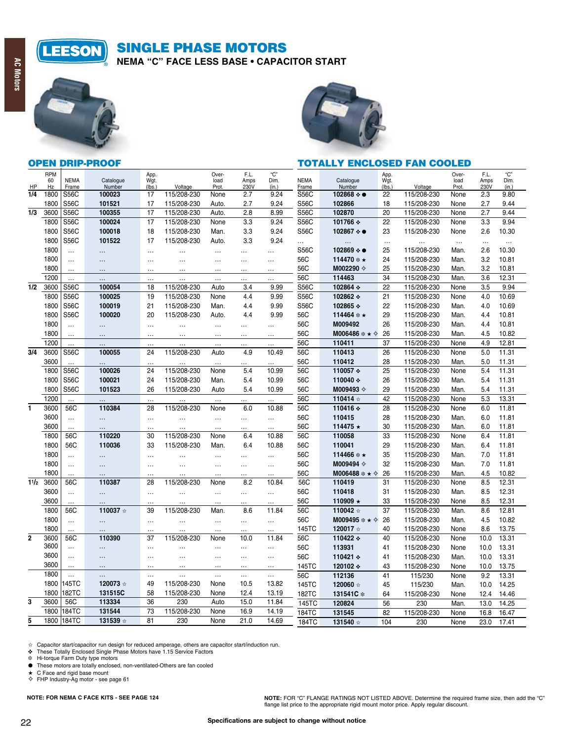

**AC Motors** 

**SINGLE PHASE MOTORS**

**NEMA "C" FACE LESS BASE . CAPACITOR START** 





# **TOTALLY ENCLOSED FAN COOLED**

|                | <b>RPM</b> |                      |                     | App.           |             | Over-         | F.L.         | "С"           |                      |                               | App.          |             | Over-         | F.L.         | "С"           |
|----------------|------------|----------------------|---------------------|----------------|-------------|---------------|--------------|---------------|----------------------|-------------------------------|---------------|-------------|---------------|--------------|---------------|
| HP             | 60<br>Hz   | <b>NEMA</b><br>Frame | Catalogue<br>Number | Wgt.<br>(lbs.) | Voltage     | load<br>Prot. | Amps<br>230V | Dim.<br>(in.) | <b>NEMA</b><br>Frame | Catalogue<br>Number           | Wgt.<br>(lbs. | Voltage     | load<br>Prot. | Amps<br>230V | Dim.<br>(in.) |
| 1/4            | 1800       | <b>S56C</b>          | 100023              | 17             | 115/208-230 | None          | 2.7          | 9.24          | <b>S56C</b>          | $102868 \div \bullet$         | 22            | 115/208-230 | None          | 2.3          | 9.80          |
|                | 1800       | <b>S56C</b>          | 101521              | 17             | 115/208-230 | Auto.         | 2.7          | 9.24          | <b>S56C</b>          | 102866                        | 18            | 115/208-230 | None          | 2.7          | 9.44          |
| 1/3            | 3600       | <b>S56C</b>          | 100355              | 17             | 115/208-230 | Auto.         | 2.8          | 8.99          | <b>S56C</b>          | 102870                        | 20            | 115/208-230 | None          | 2.7          | 9.44          |
|                | 1800       | <b>S56C</b>          | 100024              | 17             | 115/208-230 | None          | 3.3          | 9.24          | <b>S56C</b>          | 101766 +                      | 22            | 115/208-230 | None          | 3.3          | 9.94          |
|                | 1800       | <b>S56C</b>          | 100018              | 18             | 115/208-230 | Man.          | 3.3          | 9.24          | <b>S56C</b>          | 102867 ÷ ●                    | 23            | 115/208-230 | None          | 2.6          | 10.30         |
|                | 1800       | S56C                 | 101522              | 17             | 115/208-230 | Auto.         | 3.3          | 9.24          | $\cdots$             | .                             | $\ldots$      | $\cdots$    | $\cdots$      | $\ddotsc$    | $\ddotsc$     |
|                | 1800       | $\ddotsc$            |                     | $\ddotsc$      | $\sim$      | $\ddotsc$     | $\ldots$     | $\cdots$      | <b>S56C</b>          | $102869 - $                   | 25            | 115/208-230 | Man.          | 2.6          | 10.30         |
|                | 1800       | $\ddotsc$            |                     | $\ddotsc$      | $\ddotsc$   | .             | $\cdots$     | $\cdots$      | 56C                  | 114470 * *                    | 24            | 115/208-230 | Man.          | 3.2          | 10.81         |
|                | 1800       |                      |                     | .              |             | .             | .            | .             | 56C                  | M002290 <b>⊹</b>              | 25            | 115/208-230 | Man.          | 3.2          | 10.81         |
|                | 1200       | $\ddotsc$            |                     | $\ddotsc$      | $\cdots$    | $\ddotsc$     | $\cdots$     | .             | 56C                  | 114463                        | 34            | 115/208-230 | Man.          | 3.6          | 12.31         |
| 1/2            | 3600       | S56C                 | 100054              | 18             | 115/208-230 | Auto          | 3.4          | 9.99          | <b>S56C</b>          | 102864 +                      | 22            | 115/208-230 | None          | 3.5          | 9.94          |
|                | 1800       | <b>S56C</b>          | 100025              | 19             | 115/208-230 | None          | 4.4          | 9.99          | <b>S56C</b>          | 102862 +                      | 21            | 115/208-230 | None          | 4.0          | 10.69         |
|                | 1800       | <b>S56C</b>          | 100019              | 21             | 115/208-230 | Man.          | 4.4          | 9.99          | <b>S56C</b>          | 102865 +                      | 22            | 115/208-230 | Man.          | 4.0          | 10.69         |
|                | 1800       | <b>S56C</b>          | 100020              | 20             | 115/208-230 | Auto.         | 4.4          | 9.99          | 56C                  | 114464 $*$ $*$                | 29            | 115/208-230 | Man.          | 4.4          | 10.81         |
|                | 1800       |                      |                     |                |             |               |              |               | 56C                  | M009492                       | 26            | 115/208-230 | Man.          | 4.4          | 10.81         |
|                |            | $\ddotsc$            | $\cdots$            | $\cdots$       | $\cdots$    | $\cdots$      | $\cdots$     | $\cdots$      | 56C                  |                               | 26            |             | Man.          |              |               |
|                | 1800       | $\cdots$             | $\ddotsc$           | $\cdots$       | $\cdots$    | $\cdots$      | $\ldots$     | $\cdots$      |                      | M006486 $\ast \star \diamond$ |               | 115/208-230 |               | 4.5          | 10.82         |
| 3/4            | 1200       | $\ddotsc$            | .                   | $\ddotsc$      | .           | $\cdots$      | $\cdots$     | .             | 56C                  | 110411                        | 37            | 115/208-230 | None          | 4.9          | 12.81         |
|                | 3600       | <b>S56C</b>          | 100055              | 24             | 115/208-230 | Auto          | 4.9          | 10.49         | 56C                  | 110413                        | 26            | 115/208-230 | None          | 5.0          | 11.31         |
|                | 3600       |                      | .                   | $\cdots$       |             |               |              | .             | 56C                  | 110412                        | 28            | 115/208-230 | Man.          | 5.0          | 11.31         |
|                | 1800       | <b>S56C</b>          | 100026              | 24             | 115/208-230 | None          | 5.4          | 10.99         | 56C                  | 110057 +                      | 25            | 115/208-230 | None          | 5.4          | 11.31         |
|                | 1800       | <b>S56C</b>          | 100021              | 24             | 115/208-230 | Man.          | 5.4          | 10.99         | 56C                  | 110040 +                      | 26            | 115/208-230 | Man.          | 5.4          | 11.31         |
|                | 1800       | S56C                 | 101523              | 26             | 115/208-230 | Auto          | 5.4          | 10.99         | 56C                  | M009493 $\diamond$            | 29            | 115/208-230 | Man.          | 5.4          | 11.31         |
|                | 1200       |                      |                     | $\ddotsc$      |             | .             | .            |               | 56C                  | 110414 ☆                      | 42            | 115/208-230 | None          | 5.3          | 13.31         |
| 1              | 3600       | 56C                  | 110384              | 28             | 115/208-230 | None          | 6.0          | 10.88         | 56C                  | 110416 +                      | 28            | 115/208-230 | None          | 6.0          | 11.81         |
|                | 3600       | $\ddots$             | $\ddots$            | $\ddotsc$      | $\cdots$    | $\cdots$      | $\cdots$     | $\cdots$      | 56C                  | 110415                        | 28            | 115/208-230 | Man.          | 6.0          | 11.81         |
|                | 3600       | $\ddotsc$            |                     | $\cdots$       |             | $\cdots$      | .            | $\cdots$      | 56C                  | 114475 ★                      | 30            | 115/208-230 | Man.          | 6.0          | 11.81         |
|                | 1800       | 56C                  | 110220              | 30             | 115/208-230 | None          | 6.4          | 10.88         | 56C                  | 110058                        | 33            | 115/208-230 | None          | 6.4          | 11.81         |
|                | 1800       | 56C                  | 110036              | 33             | 115/208-230 | Man.          | 6.4          | 10.88         | 56C                  | 110041                        | 29            | 115/208-230 | Man.          | 6.4          | 11.81         |
|                | 1800       | $\ddotsc$            |                     | $\ddotsc$      | .           |               | $\cdots$     |               | 56C                  | 114466 * *                    | 35            | 115/208-230 | Man.          | 7.0          | 11.81         |
|                | 1800       | $\ddots$             | .                   | $\ddotsc$      | .           | $\cdots$      | $\cdots$     | $\cdots$      | 56C                  | M009494 $\diamond$            | 32            | 115/208-230 | Man.          | 7.0          | 11.81         |
|                | 1800       |                      |                     |                |             |               | .            |               | 56C                  | M006488 $** \star \diamond$   | 26            | 115/208-230 | Man.          | 4.5          | 10.82         |
| 11/2           | 3600       | 56C                  | 110387              | 28             | 115/208-230 | None          | 8.2          | 10.84         | 56C                  | 110419                        | 31            | 115/208-230 | None          | 8.5          | 12.31         |
|                | 3600       | $\cdots$             | $\ldots$            | $\ldots$       | $\ldots$    | $\cdots$      | $\ldots$     | $\cdots$      | 56C                  | 110418                        | 31            | 115/208-230 | Man.          | 8.5          | 12.31         |
|                | 3600       |                      |                     |                |             | .             |              |               | 56C                  | 110909 *                      | 33            | 115/208-230 | None          | 8.5          | 12.31         |
|                | 1800       | 56C                  | 110037 ☆            | 39             | 115/208-230 | Man.          | 8.6          | 11.84         | 56C                  | 110042 *                      | 37            | 115/208-230 | Man.          | 8.6          | 12.81         |
|                | 1800       | $\cdots$             | $\cdots$            | $\sim$         |             | $\sim$        | $\sim$       | $\cdots$      | 56C                  | M009495 $\ast \star \diamond$ | 26            | 115/208-230 | Man.          | 4.5          | 10.82         |
|                | 1800       | $\ddotsc$            | $\ddotsc$           | $\cdots$       | .           |               | .            | $\cdots$      | 145TC                | 120017 *                      | 40            | 115/208-230 | None          | 8.6          | 13.75         |
| $\overline{2}$ | 3600       | 56C                  | 110390              | 37             | 115/208-230 | None          | 10.0         | 11.84         | 56C                  | 110422 +                      | 40            | 115/208-230 | None          | 10.0         | 13.31         |
|                | 3600       | $\ddotsc$            | $\ddotsc$           | $\cdots$       | .           | $\ddotsc$     | $\cdots$     | $\cdots$      | 56C                  | 113931                        | 41            | 115/208-230 | None          | 10.0         | 13.31         |
|                | 3600       | $\cdots$             | $\ddotsc$           | $\cdots$       | $\ldots$    | $\ddotsc$     | $\cdots$     | $\cdots$      | 56C                  | 110421 -                      | 41            | 115/208-230 | Man.          | 10.0         | 13.31         |
|                | 3600       | .                    | .                   | $\cdots$       | .           | $\ddotsc$     | $\cdots$     | $\cdots$      | 145TC                | 120102 -                      | 43            | 115/208-230 | None          | 10.0         | 13.75         |
|                | 1800       | $\ldots$             | $\ddotsc$           | $\sim$         | $\cdots$    | $\sim$        | $\sim$       | $\sim$        | 56C                  | 112136                        | 41            | 115/230     | None          | 9.2          | 13.31         |
|                | 1800       | 145TC                | 120073 *            | 49             | 115/208-230 | None          | 10.5         | 13.82         | 145TC                | 120060 *                      | 45            | 115/230     | Man.          | 10.0         | 14.25         |
|                | 1800       | 182TC                | 131515C             | 58             | 115/208-230 | None          | 12.4         | 13.19         | 182TC                | 131541C*                      | 64            | 115/208-230 | None          | 12.4         | 14.46         |
| 3              | 3600       | 56C                  | 113334              | 36             | 230         | Auto          | 15.0         | 11.84         | 145TC                | 120824                        | 56            | 230         | Man.          | 13.0         | 14.25         |
|                | 1800       | 184TC                | 131544              | 73             | 115/208-230 | None          | 16.9         | 14.19         | 184TC                | 131545                        | 82            | 115/208-230 | None          | 16.8         | 16.47         |
| 5              | 1800       | 184TC                | 131539 ☆            | 81             | 230         | None          | 21.0         | 14.69         | 184TC                | 131540 *                      | 104           | 230         | None          | 23.0         | 17.41         |
|                |            |                      |                     |                |             |               |              |               |                      |                               |               |             |               |              |               |

☆ Capacitor start/capacitor run design for reduced amperage, others are capacitor start/induction run.<br>◆ These Totally Enclosed Single Phase Motors have 1.15 Service Factors<br>☆ Hi-torque Farm Duty type motors<br>● These moto

★ C Face and rigid base mount<br>❖ FHP Industry-Ag motor - see page 61

**NOTE: FOR NEMA C FACE KITS - SEE PAGE 124** 

**NOTE:** FOR "C" FLANGE RATINGS NOT LISTED ABOVE. Determine the required frame size, then add the "C"<br>flange list price to the appropriate rigid mount motor price. Apply regular discount.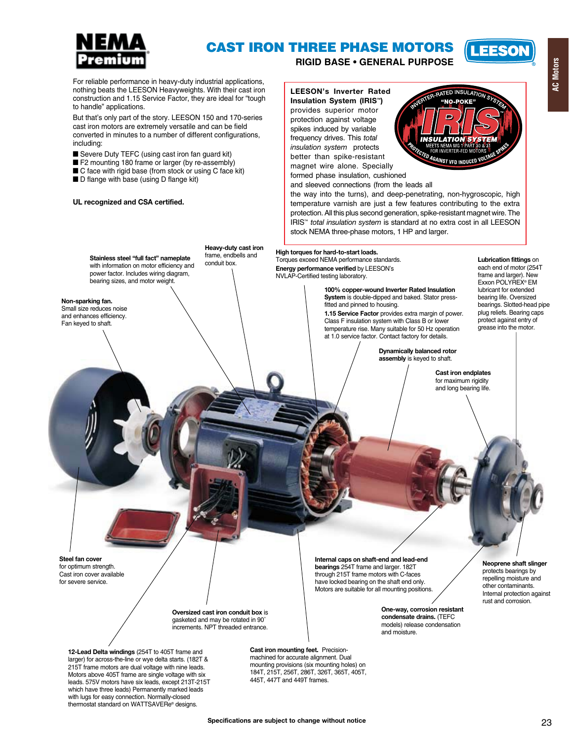

# **CAST IRON THREE PHASE MOTORS**

**RIGID BASE . GENERAL PURPOSE** 



For reliable performance in heavy-duty industrial applications, nothing beats the LEESON Heavyweights. With their cast iron construction and 1.15 Service Factor, they are ideal for "tough to handle" applications.

But that's only part of the story. LEESON 150 and 170-series cast iron motors are extremely versatile and can be field converted in minutes to a number of different configurations, including:

- Severe Duty TEFC (using cast iron fan guard kit)
- F2 mounting 180 frame or larger (by re-assembly)
- $\blacksquare$  C face with rigid base (from stock or using C face kit)
- D flange with base (using D flange kit)

**UL recognized and CSA certified.**

**Insulation System (IRIS™)** provides superior motor protection against voltage spikes induced by variable frequency drives. This *total insulation system* protects better than spike-resistant magnet wire alone. Specially formed phase insulation, cushioned and sleeved connections (from the leads all

**LEESON's Inverter Rated** 



the way into the turns), and deep-penetrating, non-hygroscopic, high temperature varnish are just a few features contributing to the extra protection. All this plus second generation, spike-resistant magnet wire. The IRIS™ *total insulation system* is standard at no extra cost in all LEESON stock NEMA three-phase motors, 1 HP and larger.

**Non-sparking fan.** Small size reduces noise and enhances efficiency. Fan keyed to shaft. **Steel fan cover** for optimum strength. Cast iron cover available for severe service. **Stainless steel "full fact" nameplate** with information on motor efficiency and power factor. Includes wiring diagram, bearing sizes, and motor weight. frame, endbells and conduit box. **100% copper-wound Inverter Rated Insulation System** is double-dipped and baked. Stator pressfitted and pinned to housing. **1.15 Service Factor** provides extra margin of power. Class F insulation system with Class B or lower temperature rise. Many suitable for 50 Hz operation at 1.0 service factor. Contact factory for details. **Dynamically balanced rotor assembly** is keyed to shaft. **Lubrication fittings** on each end of motor (254T frame and larger). New Exxon POLYREX® EM lubricant for extended bearing life. Oversized bearings. Slotted-head pipe plug reliefs. Bearing caps protect against entry of grease into the motor. **Cast iron endplates** for maximum rigidity and long bearing life. **Internal caps on shaft-end and lead-end bearings** 254T frame and larger. 182T through 215T frame motors with C-faces have locked bearing on the shaft end only. Motors are suitable for all mounting positions. **High torques for hard-to-start loads.** Torques exceed NEMA performance standards. **Energy performance verified** by LEESON's NVLAP-Certified testing laboratory.

> **Oversized cast iron conduit box** is gasketed and may be rotated in 90˚ increments. NPT threaded entrance.

**Heavy-duty cast iron**

**12-Lead Delta windings** (254T to 405T frame and larger) for across-the-line or wye delta starts. (182T & 215T frame motors are dual voltage with nine leads. Motors above 405T frame are single voltage with six leads. 575V motors have six leads, except 213T-215T which have three leads) Permanently marked leads with lugs for easy connection. Normally-closed thermostat standard on WATTSAVERe® designs.

**Cast iron mounting feet.** Precisionmachined for accurate alignment. Dual mounting provisions (six mounting holes) on 184T, 215T, 256T, 286T, 326T, 365T, 405T, 445T, 447T and 449T frames.

**One-way, corrosion resistant condensate drains.** (TEFC models) release condensation

and moisture.

**Neoprene shaft slinger** protects bearings by repelling moisture and other contaminants. Internal protection against rust and corrosion.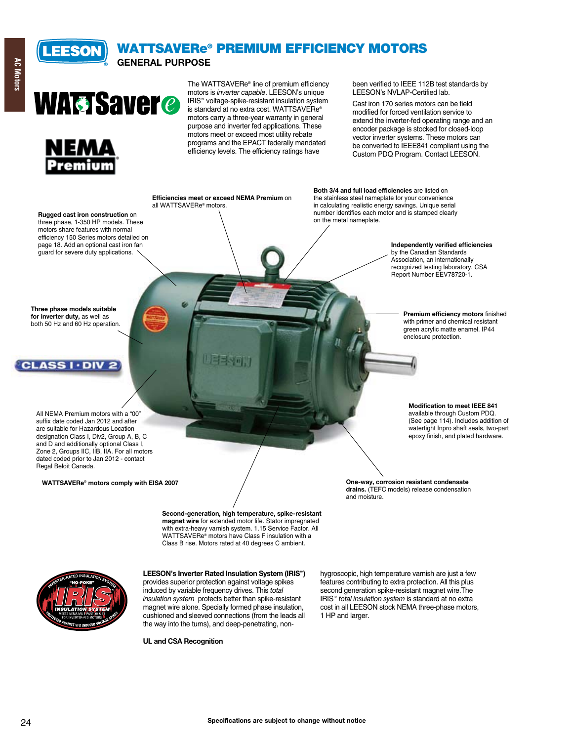# **WATTSAVERe® PREMIUM EFFICIENCY MOTORS**

**GENERAL PURPOSE**





**LEESON** 

The WATTSAVERe® line of premium efficiency motors is *inverter capable*. LEESON's unique IRIS™ voltage-spike-resistant insulation system is standard at no extra cost. WATTSAVERe® motors carry a three-year warranty in general purpose and inverter fed applications. These motors meet or exceed most utility rebate programs and the EPACT federally mandated efficiency levels. The efficiency ratings have

**Efficiencies meet or exceed NEMA Premium** on

been verified to IEEE 112B test standards by LEESON's NVLAP-Certified lab.

Cast iron 170 series motors can be field modified for forced ventilation service to extend the inverter-fed operating range and an encoder package is stocked for closed-loop vector inverter systems. These motors can be converted to IEEE841 compliant using the Custom PDQ Program. Contact LEESON.

**Rugged cast iron construction** on three phase, 1-350 HP models. These motors share features with normal efficiency 150 Series motors detailed on page 18. Add an optional cast iron fan guard for severe duty applications. all WATTSAVERe® motors. **Both 3/4 and full load efficiencies** are listed on the stainless steel nameplate for your convenience in calculating realistic energy savings. Unique serial number identifies each motor and is stamped clearly on the metal nameplate.

> **Independently verified efficiencies** by the Canadian Standards Association, an internationally recognized testing laboratory. CSA Report Number EEV78720-1.

**Premium efficiency motors** finished with primer and chemical resistant green acrylic matte enamel. IP44 enclosure protection.

**Modification to meet IEEE 841** available through Custom PDQ.

(See page 114). Includes addition of watertight Inpro shaft seals, two-part epoxy finish, and plated hardware.

**One-way, corrosion resistant condensate drains.** (TEFC models) release condensation and moisture.

**Three phase models suitable for inverter duty,** as well as both 50 Hz and 60 Hz operation.

# **CLASS I . DIV 2**

All NEMA Premium motors with a "00" suffix date coded Jan 2012 and after are suitable for Hazardous Location designation Class I, Div2, Group A, B, C and D and additionally optional Class I, Zone 2, Groups IIC, IIB, IIA. For all motors dated coded prior to Jan 2012 - contact Regal Beloit Canada.

**WATTSAVERe**® **motors comply with EISA 2007**

**Second-generation, high temperature, spike-resistant magnet wire** for extended motor life. Stator impregnated with extra-heavy varnish system. 1.15 Service Factor. All WATTSAVERe® motors have Class F insulation with a Class B rise. Motors rated at 40 degrees C ambient.



**LEESON's Inverter Rated Insulation System (IRIS™)** provides superior protection against voltage spikes induced by variable frequency drives. This *total insulation system* protects better than spike-resistant magnet wire alone. Specially formed phase insulation, cushioned and sleeved connections (from the leads all the way into the turns), and deep-penetrating, non-

**UL and CSA Recognition**

hygroscopic, high temperature varnish are just a few features contributing to extra protection. All this plus second generation spike-resistant magnet wire.The IRIS™ *total insulation system* is standard at no extra cost in all LEESON stock NEMA three-phase motors, 1 HP and larger.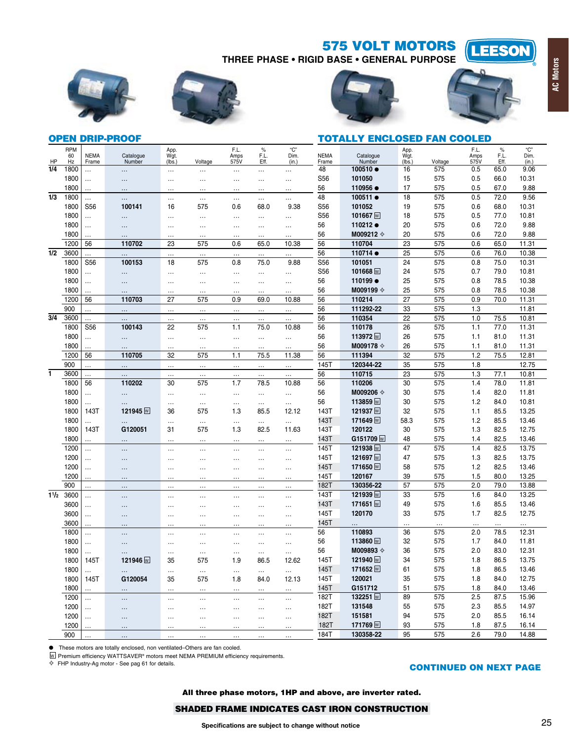**575 VOLT MOTORS**

**THREE PHASE • RIGID BASE • GENERAL PURPOSE** 









LEESON

**AC Motors**

**AC Motors** 

# **OPEN DRIP-PROOF**

|      |                        |                      | <b>OPEN DRIP-PROOF</b> |                        |           |                      |                      |                      |                      | <b>TOTALLY ENCLOSED FAN COOLED</b> |                        |         |                      |                      |                      |
|------|------------------------|----------------------|------------------------|------------------------|-----------|----------------------|----------------------|----------------------|----------------------|------------------------------------|------------------------|---------|----------------------|----------------------|----------------------|
| HP   | <b>RPM</b><br>60<br>Hz | <b>NEMA</b><br>Frame | Catalogue<br>Number    | App.<br>Wgt.<br>(lbs.) | Voltage   | F.L.<br>Amps<br>575V | $\%$<br>F.L.<br>Eff. | "C"<br>Dim.<br>(in.) | <b>NEMA</b><br>Frame | Catalogue<br>Number                | App.<br>Wgt.<br>(lbs.) | Voltage | F.L.<br>Amps<br>575V | $\%$<br>F.L.<br>Eff. | "C"<br>Dim.<br>(in.) |
| 1/4  | 1800                   | $\cdots$             | $\ddotsc$              | $\cdots$               | $\cdots$  | $\sim$               |                      | $\cdots$             | 48                   | 100510 ●                           | 16                     | 575     | 0.5                  | 65.0                 | 9.06                 |
|      | 1800                   | $\cdots$             | $\cdots$               | $\cdots$               | .         | $\cdots$             |                      | $\cdots$             | S56                  | 101050                             | 15                     | 575     | 0.5                  | 66.0                 | 10.31                |
|      | 1800                   | .                    | $\cdots$               | $\cdots$               |           | $\cdots$             | $\cdots$             | $\cdots$             | 56                   | 110956 ●                           | 17                     | 575     | 0.5                  | 67.0                 | 9.88                 |
| 1/3  | 1800                   |                      | .                      | $\ddotsc$              | $\sim$    | $\cdots$             |                      | $\ddotsc$            | 48                   | 100511 ●                           | 18                     | 575     | 0.5                  | 72.0                 | 9.56                 |
|      | 1800                   | S <sub>56</sub>      | 100141                 | 16                     | 575       | 0.6                  | 68.0                 | 9.38                 | S56                  | 101052                             | 19                     | 575     | 0.6                  | 68.0                 | 10.31                |
|      | 1800                   | .                    |                        | $\cdots$               | .         | $\cdots$             | $\cdots$             | $\cdots$             | S56                  | 101667 <sub>M</sub>                | 18                     | 575     | 0.5                  | 77.0                 | 10.81                |
|      | 1800                   |                      |                        | $\cdots$               |           |                      | $\cdots$             | $\cdots$             | 56                   | 110212 ●                           | 20                     | 575     | 0.6                  | 72.0                 | 9.88                 |
|      | 1800                   | .                    | .                      | $\cdots$               |           | $\cdots$             | $\cdots$             | .                    | 56                   | M009212 <b>☆</b>                   | 20                     | 575     | 0.6                  | 72.0                 | 9.88                 |
|      | 1200                   | 56                   | 110702                 | 23                     | 575       | 0.6                  | 65.0                 | 10.38                | 56                   | 110704                             | 23                     | 575     | 0.6                  | 65.0                 | 11.31                |
| 1/2  | 3600                   | $\cdots$             | $\ddotsc$              | $\ldots$               | $\ddotsc$ |                      |                      | $\cdots$             | 56                   | 110714 ●                           | 25                     | 575     | 0.6                  | 76.0                 | 10.38                |
|      | 1800                   | S56                  | 100153                 | 18                     | 575       | 0.8                  | 75.0                 | 9.88                 | S56                  | 101051                             | 24                     | 575     | 0.8                  | 75.0                 | 10.31                |
|      | 1800                   |                      | $\cdots$               | $\cdots$               | $\cdots$  |                      |                      | $\cdots$             | S56                  | 101668 <sub>M</sub>                | 24                     | 575     | 0.7                  | 79.0                 | 10.81                |
|      | 1800                   |                      | $\cdots$               | $\cdots$               | $\cdots$  | $\cdots$             | $\cdots$             | $\cdots$             | 56                   | 110199 ●                           | 25                     | 575     | 0.8                  | 78.5                 | 10.38                |
|      | 1800                   |                      | $\cdots$               | $\cdots$               | $\cdots$  | $\cdots$             |                      | $\ldots$             | 56                   |                                    | 25                     | 575     | 0.8                  | 78.5                 | 10.38                |
|      | 1200                   | 56                   | 110703                 | 27                     | 575       | 0.9                  | 69.0                 | 10.88                | 56                   | 110214                             | 27                     | 575     | 0.9                  | 70.0                 | 11.31                |
|      | 900                    | .                    | $\ddotsc$              | $\sim$                 | $\ldots$  | $\ldots$             | $\ldots$             | $\cdots$             | 56                   | 111292-22                          | 33                     | 575     | 1.3                  |                      | 11.81                |
| 3/4  | 3600                   |                      | $\ldots$               | $\ddotsc$              | $\cdots$  |                      |                      | $\cdots$             | 56                   | 110354                             | 22                     | 575     | 1.0                  | 75.5                 | 10.81                |
|      | 1800                   | S <sub>56</sub>      | 100143                 | 22                     | 575       | 1.1                  | 75.0                 | 10.88                | 56                   | 110178                             | 26                     | 575     | 1.1                  | 77.0                 | 11.31                |
|      | 1800                   | .                    |                        | $\cdots$               | $\ddotsc$ |                      |                      | $\ldots$             | 56                   | 113972 <sub>M</sub>                | 26                     | 575     | 1.1                  | 81.0                 | 11.31                |
|      | 1800                   | .                    |                        |                        | $\cdots$  | $\cdots$             |                      |                      | 56                   | M009178 <b>☆</b>                   | 26                     | 575     | 1.1                  | 81.0                 | 11.31                |
|      | 1200                   | 56                   | 110705                 | 32                     | 575       | 1.1                  | 75.5                 | 11.38                | 56                   | 111394                             | 32                     | 575     | 1.2                  | 75.5                 | 12.81                |
|      | 900                    |                      | $\cdots$               | $\sim$                 | $\cdots$  | $\ldots$             |                      | $\sim$               | 145T                 | 120344-22                          | 35                     | 575     | 1.8                  |                      | 12.75                |
| 1    | 3600                   |                      | $\ddotsc$              |                        | $\ldots$  |                      |                      | $\cdots$             | 56                   | 110715                             | 23                     | 575     | 1.3                  | 77.1                 | 10.81                |
|      | 1800                   | 56                   | 110202                 | 30                     | 575       | 1.7                  | 78.5                 | 10.88                | 56                   | 110206                             | 30                     | 575     | 1.4                  | 78.0                 | 11.81                |
|      | 1800                   | .                    |                        | $\cdots$               | $\cdots$  |                      |                      | $\cdots$             | 56                   | M009206 $\diamond$                 | 30                     | 575     | 1.4                  | 82.0                 | 11.81                |
|      | 1800                   | $\cdots$             | .                      | $\cdots$               | $\ldots$  | $\cdots$             |                      | $\cdots$             | 56                   | 113859 ₪                           | 30                     | 575     | 1.2                  | 84.0                 | 10.81                |
|      | 1800                   | 143T                 | 121945 <sub>M</sub>    | 36                     | 575       | 1.3                  | 85.5                 | 12.12                | 143T                 | 121937 <sub>M</sub>                | 32                     | 575     | 1.1                  | 85.5                 | 13.25                |
|      | 1800                   | $\cdots$             |                        | $\cdots$               | $\ldots$  | $\ldots$             |                      | $\ldots$             | 143T                 | 171649                             | 58.3                   | 575     | 1.2                  | 85.5                 | 13.46                |
|      | 1800                   | 143T                 | G120051                | 31                     | 575       | 1.3                  | 82.5                 | 11.63                | 143T                 | 120122                             | 30                     | 575     | 1.3                  | 82.5                 | 12.75                |
|      | 1800                   | .                    | $\cdots$               | $\cdots$               |           |                      | $\cdots$             | $\ldots$             | 143T                 | G151709                            | 48                     | 575     | 1.4                  | 82.5                 | 13.46                |
|      | 1200                   | $\cdots$             |                        | $\cdots$               | $\cdots$  |                      | $\cdots$             | $\ldots$             | 145T                 | 121938 <sub>M</sub>                | 47                     | 575     | 1.4                  | 82.5                 | 13.75                |
|      | 1200                   |                      | $\cdots$               | $\cdots$               | $\cdots$  |                      |                      | $\cdots$             | 145T                 | 121697 ₪                           | 47                     | 575     | 1.3                  | 82.5                 | 13.75                |
|      | 1200                   |                      | $\cdots$               | $\cdots$               | $\cdots$  | $\cdots$             | $\cdots$             | $\cdots$             | 145T                 | 171650                             | 58                     | 575     | 1.2                  | 82.5                 | 13.46                |
|      | 1200                   |                      | $\cdots$               | $\cdots$               | $\cdots$  | $\cdots$             | $\cdots$             | $\cdots$             | 145T                 | 120167                             | 39                     | 575     | 1.5                  | 80.0                 | 13.25                |
|      | 900                    |                      | $\cdots$               | $\cdots$               | $\cdots$  | $\cdots$             | $\cdots$             | $\cdots$             | 182T                 | 130356-22                          | 57                     | 575     | 2.0                  | 79.0                 | 13.88                |
| 11/2 | 3600                   | $\cdots$             | $\ddotsc$              | $\cdots$               | $\cdots$  | $\cdots$             | $\cdots$             | $\cdots$             | 143T                 | 121939 ₪                           | 33                     | 575     | 1.6                  | 84.0                 | 13.25                |
|      | 3600                   | $\cdots$             | $\ddotsc$              | $\ddotsc$              |           | $\cdots$             | $\cdots$             | $\cdots$             | 143T                 | 171651 W                           | 49                     | 575     | 1.6                  | 85.5                 | 13.46                |
|      | 3600                   | $\ldots$             | $\ddotsc$              | $\cdots$               | $\cdots$  | $\cdots$             | $\cdots$             | $\ldots$             | 145T                 | 120170                             | 33                     | 575     | 1.7                  | 82.5                 | 12.75                |
|      | 3600                   | $\ddotsc$            | $\cdots$               | .                      | $\cdots$  | $\cdots$             | $\cdots$             | $\cdots$             | 145T                 |                                    |                        |         |                      |                      |                      |
|      | 1800                   | $\cdots$             |                        | $\cdots$               |           | $\cdots$             |                      | $\cdots$             | 56                   | 110893                             | 36                     | 575     | 2.0                  | 78.5                 | 12.31                |
|      | 1800                   | $\cdots$             | .                      |                        | $\cdots$  | $\cdots$             |                      | $\cdots$             | 56                   | 113860 <sub>M</sub>                | 32                     | 575     | 1.7                  | 84.0                 | 11.81                |
|      | 1800                   | $\cdots$             | $\cdots$               | .                      | $\cdots$  | $\cdots$             | $\cdots$             | $\cdots$             | 56                   | M009893 $\diamond$                 | 36                     | 575     | 2.0                  | 83.0                 | 12.31                |
|      | 1800                   | 145T                 | 121946 ₪               | 35                     | 575       | 1.9                  | 86.5                 | 12.62                | 145T                 | 121940 ₪                           | 34                     | 575     | 1.8                  | 86.5                 | 13.75                |
|      | 1800                   |                      | $\ldots$               | $\cdots$               | $\ldots$  | $\ldots$             | $\cdots$             | $\sim$               | 145T                 | 171652 <sub>W</sub>                | 61                     | 575     | 1.8                  | 86.5                 | 13.46                |
|      | 1800                   | 145T                 | G120054                | 35                     | 575       | 1.8                  | 84.0                 | 12.13                | 145T                 | 120021                             | 35                     | 575     | 1.8                  | 84.0                 | 12.75                |
|      | 1800                   | $\cdots$             | $\cdots$               | $\ldots$               | $\ldots$  | $\cdots$             | $\cdots$             | $\cdots$             | 145T                 | G151712                            | 51                     | 575     | 1.8                  | 84.0                 | 13.46                |
|      | 1200                   | $\ddotsc$            | $\cdots$               | $\sim$                 | $\ldots$  | $\ldots$             |                      | $\sim$               | 182T                 | 132251 ₪                           | 89                     | 575     | 2.5                  | 87.5                 | 15.96                |
|      | 1200                   | $\ldots$             |                        | $\cdots$               | $\cdots$  | $\cdots$             | $\cdots$             | $\ldots$             | 182T                 | 131548                             | 55                     | 575     | 2.3                  | 85.5                 | 14.97                |
|      | 1200                   |                      | $\cdots$               | $\cdots$               |           | $\cdots$             | $\cdots$             | $\cdots$             | 182T                 | 151581                             | 94                     | 575     | 2.0                  | 85.5                 | 16.14                |
|      | 1200                   |                      | $\ddotsc$              | $\cdots$               | $\cdots$  | $\cdots$             | $\cdots$             | $\ldots$             | 182T                 | 171769 <sub>M</sub>                | 93                     | 575     | 1.8                  | 87.5                 | 16.14                |
|      | 900                    |                      | $\ldots$               | $\ldots$               | $\cdots$  |                      |                      | $\ldots$             | 184T                 | 130358-22                          | 95                     | 575     | 2.6                  | 79.0                 | 14.88                |

L These motors are totally enclosed, non ventilated–Others are fan cooled.

W Premium efficiency WATTSAVER® motors meet NEMA PREMIUM efficiency requirements.<br>  $\diamond$  FHP Industry-Ag motor - See pag 61 for details.

# **CONTINUED ON NEXT PAGE**

**All three phase motors, 1HP and above, are inverter rated.**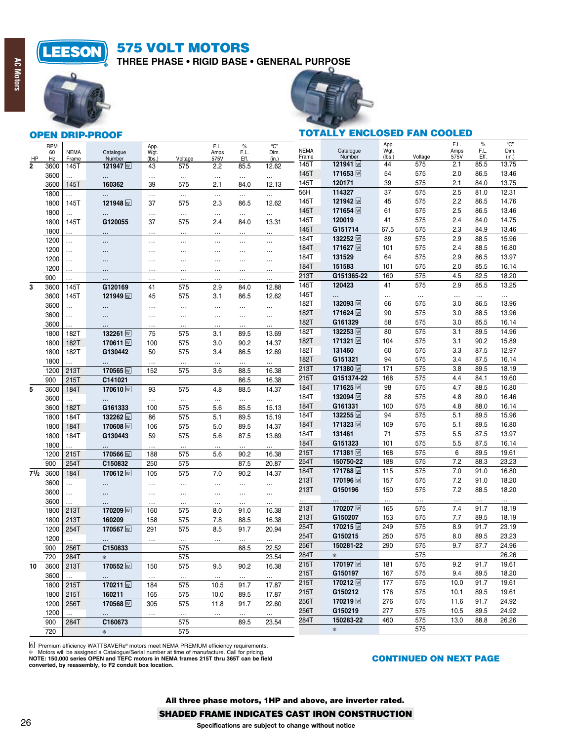

**AC Motors** 

# **575 VOLT MOTORS**

**THREE PHASE . RIGID BASE . GENERAL PURPOSE** 



**OPEN DRIP-PROOF**



# **TOTALLY ENCLOSED FAN COOLED**

|                      | <b>RPM</b> |             |                       | App.                 |                  | F.L.            | $\%$             | $C$ "                       |               |                     | App.<br>Wgt. |          | F.L.         | $\%$         | "C"           |
|----------------------|------------|-------------|-----------------------|----------------------|------------------|-----------------|------------------|-----------------------------|---------------|---------------------|--------------|----------|--------------|--------------|---------------|
|                      | 60         | <b>NEMA</b> | Catalogue             | Wgt.                 |                  | Amps            | F.L.             | Dim.                        | <b>NEMA</b>   | Catalogue<br>Number | (lbs.)       | Voltage  | Amps<br>575V | F.L.<br>Eff. | Dim.<br>(in.) |
| HP<br>$\overline{2}$ | Hz         | Frame       | Number                | (lbs.)               | Voltage          | 575V            | Eff.             | (in.)                       | Frame<br>145T | 121941 M            | 44           | 575      | 2.1          | 85.5         | 13.75         |
|                      | 3600       | 145T        | 121947 M              | 43                   | 575              | 2.2             | 85.5             | 12.62                       | 145T          | 171653 <sub>M</sub> | 54           | 575      | 2.0          | 86.5         | 13.46         |
|                      | 3600       | .           |                       | $\ldots$             | $\ddotsc$        | $\cdots$        | $\ldots$         | $\cdots$                    |               | 120171              | 39           | 575      | 2.1          | 84.0         | 13.75         |
|                      | 3600       | 145T        | 160362                | 39                   | 575              | 2.1             | 84.0             | 12.13                       | 145T          |                     |              |          |              |              |               |
|                      | 1800       | .           | $\ddots$              | $\ldots$             |                  | $\ddotsc$       | .                | .                           | 56H           | 114327              | 37           | 575      | 2.5          | 81.0         | 12.31         |
|                      | 1800       | 145T        | 121948 $\overline{w}$ | 37                   | 575              | 2.3             | 86.5             | 12.62                       | 145T          | 121942              | 45           | 575      | 2.2          | 86.5         | 14.76         |
|                      | 1800       | .           | $\cdots$              | $\sim$               | $\ddotsc$        | $\ldots$        | $\ldots$         | $\cdots$                    | 145T          | 171654 <sub>M</sub> | 61           | 575      | 2.5          | 86.5         | 13.46         |
|                      | 1800       | 145T        | G120055               | 37                   | 575              | 2.4             | 84.0             | 13.31                       | 145T          | 120019              | 41           | 575      | 2.4          | 84.0         | 14.75         |
|                      | 1800       | $\ddotsc$   | $\ldots$              | $\ldots$             | $\ddotsc$        | $\ldots$        | $\ldots$         | $\cdots$                    | 145T          | G151714             | 67.5         | 575      | 2.3          | 84.9         | 13.46         |
|                      | 1200       |             | $\cdots$              | $\ldots$             | $\ldots$         | $\cdots$        | $\ldots$         | $\cdots$                    | 184T          | 132252 M            | 89           | 575      | 2.9          | 88.5         | 15.96         |
|                      | 1200       |             |                       | $\ldots$             | $\cdots$         | $\cdots$        | $\cdots$         | $\cdots$                    | 184T          | 171627 M            | 101          | 575      | 2.4          | 88.5         | 16.80         |
|                      | 1200       |             | $\cdots$              | $\sim$ $\sim$ $\sim$ | $\cdots$         | $\cdots$        | $\cdots$         | $\cdots$                    | 184T          | 131529              | 64           | 575      | 2.9          | 86.5         | 13.97         |
|                      | 1200       | .           |                       |                      | $\cdots$         | $\ddotsc$       | $\cdots$         |                             | 184T          | 151583              | 101          | 575      | 2.0          | 85.5         | 16.14         |
|                      | 900        |             |                       | $\ddotsc$            |                  |                 |                  | $\cdots$                    | 213T          | G151365-22          | 160          | 575      | 4.5          | 82.5         | 18.20         |
| 3                    | 3600       | .<br>145T   | $\ddotsc$<br>G120169  | $\sim$<br>41         | $\ddotsc$<br>575 | $\ldots$<br>2.9 | $\ldots$<br>84.0 | $\sim$<br>12.88             | 145T          | 120423              | 41           | 575      | 2.9          | 85.5         | 13.25         |
|                      |            |             | 121949 <sub>M</sub>   |                      |                  |                 |                  |                             | 145T          |                     | $\ddotsc$    | $\cdots$ | $\cdots$     | $\cdots$     | $\cdots$      |
|                      | 3600       | 145T        |                       | 45                   | 575              | 3.1             | 86.5             | 12.62                       | 182T          | 132093 <sub>M</sub> | 66           | 575      | 3.0          | 86.5         | 13.96         |
|                      | 3600       |             | .                     | $\ddotsc$            | $\ldots$         | $\ddotsc$       | $\cdots$         | $\cdots$                    | 182T          | 171624 <sub>M</sub> | 90           | 575      | 3.0          | 88.5         | 13.96         |
|                      | 3600       |             | $\cdots$              | $\ddotsc$            | $\cdots$         | $\cdots$        | $\cdots$         | $\cdots$                    | 182T          | G161329             | 58           | 575      | 3.0          | 85.5         | 16.14         |
|                      | 3600       | .           | $\cdots$              | $\cdots$             | $\cdots$         | $\cdots$        |                  |                             | 182T          | 132253 M            | 80           | 575      | 3.1          | 89.5         | 14.96         |
|                      | 1800       | 182T        | 132261 W              | 75                   | 575              | 3.1             | 89.5             | 13.69                       | 182T          | 171321 W            | 104          | 575      |              | 90.2         | 15.89         |
|                      | 1800       | 182T        | 170611 ₪              | 100                  | 575              | 3.0             | 90.2             | 14.37                       |               |                     |              |          | 3.1          |              |               |
|                      | 1800       | 182T        | G130442               | 50                   | 575              | 3.4             | 86.5             | 12.69                       | 182T          | 131460              | 60           | 575      | 3.3          | 87.5         | 12.97         |
|                      | 1800       |             |                       | $\ddotsc$            | $\cdots$         | $\ddotsc$       |                  | .                           | 182T          | G151321             | 94           | 575      | 3.4          | 87.5         | 16.14         |
|                      | 1200       | 213T        | 170565 <sub>M</sub>   | 152                  | 575              | 3.6             | 88.5             | 16.38                       | 213T          | 171380 ₪            | 171          | 575      | 3.8          | 89.5         | 18.19         |
|                      | 900        | 215T        | C141021               |                      |                  |                 | 86.5             | 16.38                       | 215T          | G151374-22          | 168          | 575      | 4.4          | 84.1         | 19.60         |
| 5                    | 3600       | 184T        | 170610 W              | 93                   | 575              | 4.8             | 88.5             | 14.37                       | 184T          | 171625 <sub>M</sub> | 98           | 575      | 4.7          | 88.5         | 16.80         |
|                      | 3600       |             |                       | $\sim$               | $\ddotsc$        | $\ldots$        | $\ldots$         | $\mathcal{L}_{\mathcal{A}}$ | 184T          | 132094 <sub>M</sub> | 88           | 575      | 4.8          | 89.0         | 16.46         |
|                      | 3600       | 182T        | G161333               | 100                  | 575              | 5.6             | 85.5             | 15.13                       | 184T          | G161331             | 100          | 575      | 4.8          | 88.0         | 16.14         |
|                      | 1800       | 184T        | 132262 M              | 86                   | 575              | 5.1             | 89.5             | 15.19                       | 184T          | 132255 <sub>M</sub> | 94           | 575      | 5.1          | 89.5         | 15.96         |
|                      | 1800       | 184T        | 170608 M              | 106                  | 575              | 5.0             | 89.5             | 14.37                       | 184T          | 171323 ₪            | 109          | 575      | 5.1          | 89.5         | 16.80         |
|                      | 1800       | 184T        | G130443               | 59                   | 575              | 5.6             | 87.5             | 13.69                       | 184T          | 131461              | 71           | 575      | 5.5          | 87.5         | 13.97         |
|                      | 1800       |             |                       | $\ldots$             | $\ldots$         | $\ddotsc$       |                  | $\cdots$                    | 184T          | G151323             | 101          | 575      | 5.5          | 87.5         | 16.14         |
|                      | 1200       | 215T        | 170566 <sub>M</sub>   | 188                  | 575              | 5.6             | 90.2             | 16.38                       | 215T          | 171381 <sub>M</sub> | 168          | 575      | 6            | 89.5         | 19.61         |
|                      | 900        | 254T        | C150832               | 250                  | 575              |                 | 87.5             | 20.87                       | 254T          | 150750-22           | 188          | 575      | 7.2          | 88.3         | 23.23         |
| $7^{1/2}$            | 3600       | 184T        | 170612 <sub>M</sub>   | 105                  | 575              | 7.0             | 90.2             | 14.37                       | 184T          | 171768 <sub>M</sub> | 115          | 575      | 7.0          | 91.0         | 16.80         |
|                      | 3600       |             | .                     | $\sim$               | $\ddotsc$        | $\ldots$        | $\ldots$         | $\cdots$                    | 213T          | 170196 <sub>M</sub> | 157          | 575      | 7.2          | 91.0         | 18.20         |
|                      | 3600       |             | $\cdots$              | $\ddotsc$            | $\cdots$         | $\ddotsc$       | $\cdots$         | $\cdots$                    | 213T          | G150196             | 150          | 575      | 7.2          | 88.5         | 18.20         |
|                      | 3600       |             |                       | $\ddotsc$            | $\cdots$         | $\ddotsc$       | $\cdots$         | $\cdots$                    | $\cdots$      |                     | $\cdots$     | $\cdots$ | .            | $\cdots$     | $\cdots$      |
|                      | 1800       | 213T        | 170209 M              | 160                  | 575              | 8.0             | 91.0             | 16.38                       | 213T          | 170207 ₪            | 165          | 575      | 7.4          | 91.7         | 18.19         |
|                      | 1800       | 213T        | 160209                | 158                  | 575              | 7.8             | 88.5             | 16.38                       | 213T          | G150207             | 153          | 575      | 7.7          | 89.5         | 18.19         |
|                      | 1200       | 254T        | 170567 <sub>M</sub>   | 291                  | 575              | 8.5             | 91.7             | 20.94                       | 254T          | 170215 <sub>M</sub> | 249          | 575      | 8.9          | 91.7         | 23.19         |
|                      | 1200       |             |                       |                      |                  |                 |                  |                             | 254T          | G150215             | 250          | 575      | 8.0          | 89.5         | 23.23         |
|                      |            |             | <br>C150833           | $\ldots$             | $\ddotsc$        | $\ldots$        | $\cdots$         | .                           | 256T          | 150281-22           | 290          | 575      | 9.7          | 87.7         | 24.96         |
|                      | 900        | 256T        |                       |                      | 575              |                 | 88.5             | 22.52                       | 284T          | *                   |              | 575      |              |              | 26.26         |
|                      | 720        | 284T        | *                     |                      | 575              |                 |                  | 23.54                       | 215T          | 170197 ₪            | 181          | 575      | 9.2          | 91.7         | 19.61         |
| 10                   | 3600       | 213T        | 170552 W              | 150                  | 575              | 9.5             | 90.2             | 16.38                       | 215T          | G150197             | 167          | 575      | 9.4          | 89.5         | 18.20         |
|                      | 3600       | $\cdots$    |                       | $\sim$               | $\ldots$         | $\ldots$        | $\ldots$         |                             | 215T          | 170212              | 177          | 575      |              | 91.7         |               |
|                      | 1800       | 215T        | 170211 $w$            | 184                  | 575              | 10.5            | 91.7             | 17.87                       |               |                     |              |          | 10.0         |              | 19.61         |
|                      | 1800       | 215T        | 160211                | 165                  | 575              | 10.0            | 89.5             | 17.87                       | 215T          | G150212             | 176          | 575      | 10.1         | 89.5         | 19.61         |
|                      | 1200       | 256T        | 170568                | 305                  | 575              | 11.8            | 91.7             | 22.60                       | 256T          | 170219              | 276          | 575      | 11.6         | 91.7         | 24.92         |
|                      | 1200       | $\cdots$    | $\sim$                | $\sim$               | $\ldots$         | $\ldots$        | $\ldots$         | $\ldots$                    | 256T          | G150219             | 277          | 575      | 10.5         | 89.5         | 24.92         |
|                      | 900        | 284T        | C160673               |                      | 575              |                 | 89.5             | 23.54                       | 284T          | 150283-22           | 460          | 575      | 13.0         | 88.8         | 26.26         |
|                      | 720        |             | *                     |                      | 575              |                 |                  |                             |               | *                   |              | 575      |              |              |               |

W Premium efficiency WATTSAVERe® motors meet NEMA PREMIUM efficiency requirements.<br>☀ Motors will be assigned a Catalogue/Serial number at time of manufacture. Call for pricing.<br>NOTE: 150,000 series OPEN and TEFC motors in

# **CONTINUED ON NEXT PAGE**

**All three phase motors, 1HP and above, are inverter rated.**

**SHADED FRAME INDICATES CAST IRON CONSTRUCTION**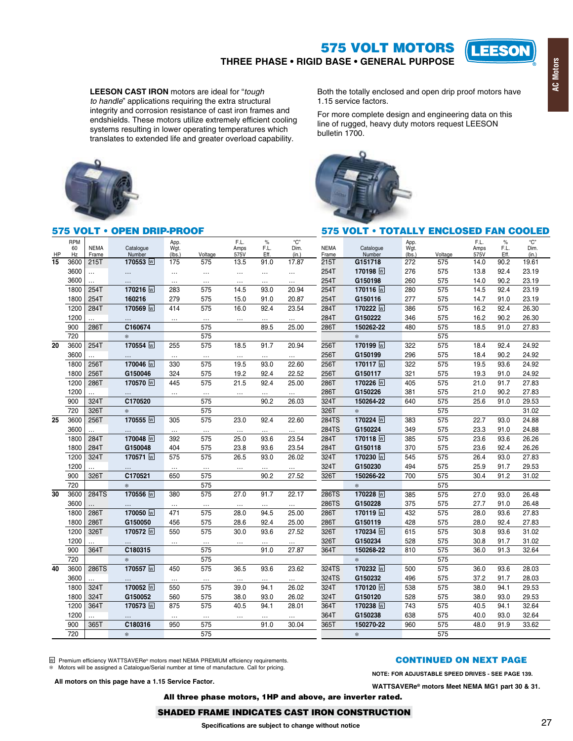**EESON** 

# **575 VOLT MOTORS** THREE PHASE . RIGID BASE . GENERAL PURPOSE



For more complete design and engineering data on this line of rugged, heavy duty motors request LEESON bulletin 1700.



| HP              | <b>RPM</b><br>60<br>Hz | <b>NEMA</b><br>Frame | Catalogue<br>Number | App.<br>Wgt.<br>(lbs.) | Voltage          | F.L.<br>Amps<br>575V | $\%$<br>F.L.<br>Eff. | "C"<br>Dim.<br>(in.) | <b>NEMA</b><br>Frame | Catalogue<br>Number | App.<br>Wgt.<br>(lbs.) | Voltage          | F.L.<br>Amps<br>575V | $\%$<br>F.L.<br>Eff. | C <sup>n</sup><br>Dim.<br>(in.) |
|-----------------|------------------------|----------------------|---------------------|------------------------|------------------|----------------------|----------------------|----------------------|----------------------|---------------------|------------------------|------------------|----------------------|----------------------|---------------------------------|
| $\overline{15}$ | 3600                   | 215T                 | 170553 W            | 175                    | $\overline{575}$ | 13.5                 | 91.0                 | 17.87                | 215T                 | G151718             | 272                    | $\overline{575}$ | 14.0                 | 90.2                 | 19.61                           |
|                 | 3600                   | $\cdots$             | $\ldots$            | $\cdots$               | $\cdots$         | $\ddotsc$            | $\cdots$             | $\cdots$             | 254T                 | 170198 W            | 276                    | 575              | 13.8                 | 92.4                 | 23.19                           |
|                 | 3600                   |                      | $\cdots$            | $\cdots$               | $\cdots$         | $\cdots$             |                      | $\cdots$             | 254T                 | G150198             | 260                    | 575              | 14.0                 | 90.2                 | 23.19                           |
|                 | 1800                   | 254T                 | 170216 W            | 283                    | 575              | 14.5                 | 93.0                 | 20.94                | 254T                 | 170116 W            | 280                    | 575              | 14.5                 | 92.4                 | 23.19                           |
|                 | 1800                   | 254T                 | 160216              | 279                    | 575              | 15.0                 | 91.0                 | 20.87                | 254T                 | G150116             | 277                    | 575              | 14.7                 | 91.0                 | 23.19                           |
|                 | 1200                   | 284T                 | 170569 W            | 414                    | 575              | 16.0                 | 92.4                 | 23.54                | 284T                 | 170222 W            | 386                    | 575              | 16.2                 | 92.4                 | 26.30                           |
|                 | 1200                   |                      | $\ddotsc$           | $\cdots$               | $\cdots$         | $\ddotsc$            | $\cdots$             | .                    | 284T                 | G150222             | 346                    | 575              | 16.2                 | 90.2                 | 26.30                           |
|                 | 900                    | 286T                 | C160674             |                        | 575              |                      | 89.5                 | 25.00                | 286T                 | 150262-22           | 480                    | 575              | 18.5                 | 91.0                 | 27.83                           |
|                 | 720                    |                      | *                   |                        | 575              |                      |                      |                      |                      | *                   |                        | 575              |                      |                      |                                 |
| $\overline{20}$ | 3600                   | 254T                 | 170554 W            | 255                    | 575              | 18.5                 | 91.7                 | 20.94                | 256T                 | 170199 W            | 322                    | 575              | 18.4                 | 92.4                 | 24.92                           |
|                 | 3600                   | $\cdots$             | .                   | $\cdots$               | $\ldots$         | $\cdots$             |                      | $\cdots$             | 256T                 | G150199             | 296                    | 575              | 18.4                 | 90.2                 | 24.92                           |
|                 | 1800                   | 256T                 | 170046 W            | 330                    | 575              | 19.5                 | 93.0                 | 22.60                | 256T                 | 170117 W            | 322                    | 575              | 19.5                 | 93.6                 | 24.92                           |
|                 | 1800                   | 256T                 | G150046             | 324                    | 575              | 19.2                 | 92.4                 | 22.52                | 256T                 | G150117             | 321                    | 575              | 19.3                 | 91.0                 | 24.92                           |
|                 | 1200                   | 286T                 | 170570 W            | 445                    | 575              | 21.5                 | 92.4                 | 25.00                | 286T                 | 170226 W            | 405                    | 575              | 21.0                 | 91.7                 | 27.83                           |
|                 | 1200                   |                      | $\ddotsc$           | $\cdots$               | $\cdots$         | $\cdots$             | $\cdots$             |                      | 286T                 | G150226             | 381                    | 575              | 21.0                 | 90.2                 | 27.83                           |
|                 | 900                    | 324T                 | C170520             |                        | 575              |                      | 90.2                 | 26.03                | 324T                 | 150264-22           | 640                    | 575              | 25.6                 | 91.0                 | 29.53                           |
|                 | 720                    | 326T                 | 妾                   |                        | 575              |                      |                      |                      | 326T                 | *                   |                        | 575              |                      |                      | 31.02                           |
| $\overline{25}$ | 3600                   | 256T                 | 170555 W            | 305                    | 575              | 23.0                 | 92.4                 | 22.60                | 284TS                | 170224 W            | 383                    | $\overline{575}$ | 22.7                 | 93.0                 | 24.88                           |
|                 | 3600                   |                      | .                   | $\cdots$               | $\cdots$         | $\cdots$             | $\cdots$             |                      | 284TS                | G150224             | 349                    | 575              | 23.3                 | 91.0                 | 24.88                           |
|                 | 1800                   | 284T                 | 170048 W            | 392                    | 575              | 25.0                 | 93.6                 | 23.54                | 284T                 | 170118 W            | 385                    | 575              | 23.6                 | 93.6                 | 26.26                           |
|                 | 1800                   | 284T                 | G150048             | 404                    | 575              | 23.8                 | 93.6                 | 23.54                | 284T                 | G150118             | 370                    | 575              | 23.6                 | 92.4                 | 26.26                           |
|                 | 1200                   | 324T                 | 170571 W            | 575                    | 575              | 26.5                 | 93.0                 | 26.02                | 324T                 | 170230 W            | 545                    | 575              | 26.4                 | 93.0                 | 27.83                           |
|                 | 1200                   |                      | $\ddotsc$           | $\cdots$               | $\cdots$         | $\cdots$             | $\cdots$             |                      | 324T                 | G150230             | 494                    | 575              | 25.9                 | 91.7                 | 29.53                           |
|                 | 900                    | 326T                 | C170521             | 650                    | 575              |                      | 90.2                 | 27.52                | 326T                 | 150266-22           | 700                    | 575              | 30.4                 | 91.2                 | 31.02                           |
|                 | 720                    |                      | *                   |                        | 575              |                      |                      |                      |                      | *                   |                        | 575              |                      |                      |                                 |
| 30              | 3600                   | 284TS                | 170556 W            | 380                    | 575              | 27.0                 | 91.7                 | 22.17                | 286TS                | 170228 W            | 385                    | 575              | 27.0                 | 93.0                 | 26.48                           |
|                 | 3600                   |                      |                     | $\ddotsc$              | $\ldots$         | $\cdots$             | $\cdots$             |                      | 286TS                | G150228             | 375                    | 575              | 27.7                 | 91.0                 | 26.48                           |
|                 | 1800                   | 286T                 | 170050 W            | 471                    | 575              | 28.0                 | 94.5                 | 25.00                | 286T                 | 170119 W            | 432                    | 575              | 28.0                 | 93.6                 | 27.83                           |
|                 | 1800                   | 286T                 | G150050             | 456                    | 575              | 28.6                 | 92.4                 | 25.00                | 286T                 | G150119             | 428                    | 575              | 28.0                 | 92.4                 | 27.83                           |
|                 | 1200                   | 326T                 | 170572 W            | 550                    | 575              | 30.0                 | 93.6                 | 27.52                | 326T                 | 170234 W            | 615                    | 575              | 30.8                 | 93.6                 | 31.02                           |
|                 | 1200                   |                      | $\ddotsc$           | $\cdots$               | $\cdots$         | $\cdots$             | $\cdots$             | $\ddotsc$            | 326T                 | G150234             | 528                    | 575              | 30.8                 | 91.7                 | 31.02                           |
|                 | 900                    | 364T                 | C180315             |                        | 575              |                      | 91.0                 | 27.87                | 364T                 | 150268-22           | 810                    | 575              | 36.0                 | 91.3                 | 32.64                           |
|                 | 720                    |                      | *                   |                        | 575              |                      |                      |                      |                      | *                   |                        | 575              |                      |                      |                                 |
| 40              | 3600                   | 286TS                | 170557 W            | 450                    | 575              | 36.5                 | 93.6                 | 23.62                | 324TS                | 170232 W            | 500                    | 575              | 36.0                 | 93.6                 | 28.03                           |
|                 | 3600                   |                      |                     | $\cdots$               | $\ldots$         | $\cdots$             | $\cdots$             | $\cdots$             | 324TS                | G150232             | 496                    | 575              | 37.2                 | 91.7                 | 28.03                           |
|                 | 1800                   | 324T                 | 170052 W            | 550                    | 575              | 39.0                 | 94.1                 | 26.02                | 324T                 | 170120 W            | 538                    | 575              | 38.0                 | 94.1                 | 29.53                           |
|                 | 1800                   | 324T                 | G150052             | 560                    | 575              | 38.0                 | 93.0                 | 26.02                | 324T                 | G150120             | 528                    | 575              | 38.0                 | 93.0                 | 29.53                           |
|                 | 1200                   | 364T                 | 170573 W            | 875                    | 575              | 40.5                 | 94.1                 | 28.01                | 364T                 | 170238 W            | 743                    | 575              | 40.5                 | 94.1                 | 32.64                           |
|                 | 1200                   |                      |                     |                        | $\cdots$         | $\cdots$             | $\cdots$             |                      | 364T                 | G150238             | 638                    | 575              | 40.0                 | 93.0                 | 32.64                           |
|                 | 900                    | 365T                 | C180316             | 950                    | 575              |                      | 91.0                 | 30.04                | 365T                 | 150270-22           | 960                    | 575              | 48.0                 | 91.9                 | 33.62                           |
|                 | 720                    |                      | *                   |                        | 575              |                      |                      |                      |                      | *                   |                        | 575              |                      |                      |                                 |

<sup>[W]</sup> Premium efficiency WATTSAVERe® motors meet NEMA PREMIUM efficiency requirements.<br> **\*** Motors will be assigned a Catalogue/Serial number at time of manufacture. Call for pricing.

**LEESON CAST IRON** motors are ideal for "tough

575 VOLT . OPEN DRIP-PROOF

to handle" applications requiring the extra structural

integrity and corrosion resistance of cast iron frames and

systems resulting in lower operating temperatures which

translates to extended life and greater overload capability.

endshields. These motors utilize extremely efficient cooling

All motors on this page have a 1.15 Service Factor.

# All three phase motors, 1HP and above, are inverter rated.

# **SHADED FRAME INDICATES CAST IRON CONSTRUCTION**

Specifications are subject to change without notice

# **CONTINUED ON NEXT PAGE**

NOTE: FOR ADJUSTABLE SPEED DRIVES - SEE PAGE 139.

WATTSAVERe® motors Meet NEMA MG1 part 30 & 31.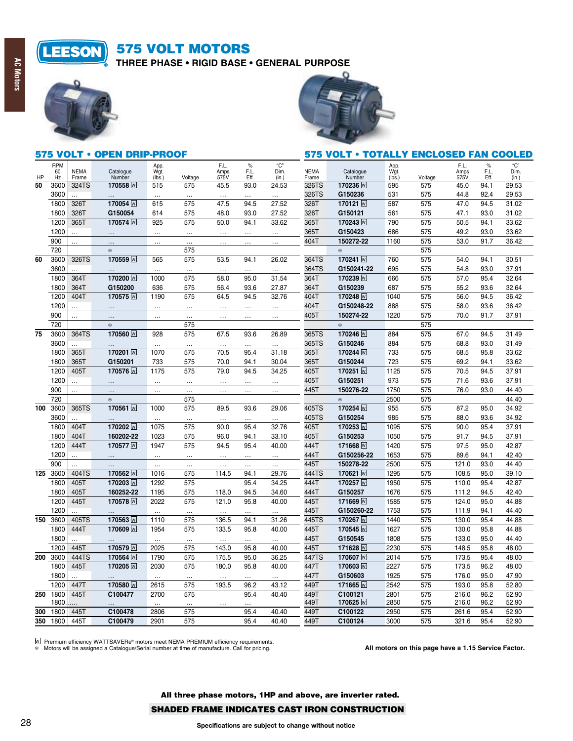

THREE PHASE . RIGID BASE . GENERAL PURPOSE





|     | 575 VULI   |                      | <u>UPEN DRIP-PROUF</u> |              |           |              |              |               | 5 I G                | <b>VULI</b><br>٠    | IUIALLY      | <b>ENCLUSED</b> |              | FAN          | <b>COOLED</b> |
|-----|------------|----------------------|------------------------|--------------|-----------|--------------|--------------|---------------|----------------------|---------------------|--------------|-----------------|--------------|--------------|---------------|
|     | <b>RPM</b> |                      |                        | App.<br>Wgt. |           | F.L.         | $\%$         | "C"           |                      |                     | App.<br>Wgt. |                 | F.L.         | $\%$         | "C"           |
| HP  | 60<br>Hz   | <b>NEMA</b><br>Frame | Catalogue<br>Number    | (lbs.)       | Voltage   | Amps<br>575V | F.L.<br>Eff. | Dim.<br>(in.) | <b>NEMA</b><br>Frame | Catalogue<br>Number | (lbs.)       | Voltage         | Amps<br>575V | F.L.<br>Eff. | Dim.<br>(in.) |
| 50  | 3600       | 324TS                | 170558 <sub>M</sub>    | 515          | 575       | 45.5         | 93.0         | 24.53         | 326TS                | 170236 W            | 595          | 575             | 45.0         | 94.1         | 29.53         |
|     | 3600       |                      |                        |              | $\ddotsc$ | $\ddotsc$    | .            |               | 326TS                | G150236             | 531          | 575             | 44.8         | 92.4         | 29.53         |
|     | 1800       | 326T                 | 170054                 | 615          | 575       | 47.5         | 94.5         | 27.52         | 326T                 | 170121 M            | 587          | 575             | 47.0         | 94.5         | 31.02         |
|     | 1800       | 326T                 | G150054                | 614          | 575       | 48.0         | 93.0         | 27.52         | 326T                 | G150121             | 561          | 575             | 47.1         | 93.0         | 31.02         |
|     | 1200       | 365T                 | 170574 M               | 925          | 575       | 50.0         | 94.1         | 33.62         | 365T                 | 170243 <sub>M</sub> | 790          | 575             | 50.5         | 94.1         | 33.62         |
|     | 1200       | .                    | $\ddotsc$              | $\cdots$     | $\ddotsc$ | $\cdots$     | $\cdots$     | $\cdots$      | 365T                 | G150423             | 686          | 575             | 49.2         | 93.0         | 33.62         |
|     | 900        |                      |                        | $\ldots$     | $\ldots$  | $\cdots$     | $\cdots$     | $\ldots$      | 404T                 | 150272-22           | 1160         | 575             | 53.0         | 91.7         | 36.42         |
|     | 720        |                      | *                      |              | 575       |              |              |               |                      | 妾                   |              | 575             |              |              |               |
| 60  | 3600       | 326TS                | 170559 <sub>M</sub>    | 565          | 575       | 53.5         | 94.1         | 26.02         | 364TS                | 170241 ₪            | 760          | 575             | 54.0         | 94.1         | 30.51         |
|     | 3600       | .                    | $\ddotsc$              | $\ddotsc$    | $\ldots$  | $\ddotsc$    | $\cdots$     | $\cdots$      | 364TS                | G150241-22          | 695          | 575             | 54.8         | 93.0         | 37.91         |
|     | 1800       | 364T                 | 170200 ₪               | 1000         | 575       | 58.0         | 95.0         | 31.54         | 364T                 | 170239 W            | 666          | 575             | 57.0         | 95.4         | 32.64         |
|     | 1800       | 364T                 | G150200                | 636          | 575       | 56.4         | 93.6         | 27.87         | 364T                 | G150239             | 687          | 575             | 55.2         | 93.6         | 32.64         |
|     | 1200       | 404T                 | 170575 ₪               | 1190         | 575       | 64.5         | 94.5         | 32.76         | 404T                 | 170248 W            | 1040         | 575             | 56.0         | 94.5         | 36.42         |
|     | 1200       |                      |                        | $\cdots$     | $\ddotsc$ | $\cdots$     | $\cdots$     | $\cdots$      | 404T                 | G150248-22          | 888          | 575             | 58.0         | 93.6         | 36.42         |
|     | 900        | $\cdots$             | .                      | $\ldots$     | $\cdots$  | $\cdots$     | $\cdots$     | $\cdots$      | 405T                 | 150274-22           | 1220         | 575             | 70.0         | 91.7         | 37.91         |
|     | 720        |                      | 參                      |              | 575       |              |              |               |                      | 參                   |              | 575             |              |              |               |
| 75  | 3600       | 364TS                | 170560 ₪               | 928          | 575       | 67.5         | 93.6         | 26.89         | 365TS                | 170246 <sub>M</sub> | 884          | 575             | 67.0         | 94.5         | 31.49         |
|     | 3600       | .                    |                        |              |           | $\ddotsc$    |              |               | 365TS                | G150246             | 884          | 575             | 68.8         | 93.0         | 31.49         |
|     | 1800       | 365T                 | 170201 ₪               | 1070         | 575       | 70.5         | 95.4         | 31.18         | 365T                 | 170244 网            | 733          | 575             | 68.5         | 95.8         | 33.62         |
|     | 1800       | 365T                 | G150201                | 733          | 575       | 70.0         | 94.1         | 30.04         | 365T                 | G150244             | 723          | 575             | 69.2         | 94.1         | 33.62         |
|     | 1200       | 405T                 | 170576                 | 1175         | 575       | 79.0         | 94.5         | 34.25         | 405T                 | 170251 ₪            | 1125         | 575             | 70.5         | 94.5         | 37.91         |
|     | 1200       |                      | $\ddotsc$              | $\ddotsc$    | $\ldots$  | $\ldots$     | $\cdots$     | $\cdots$      | 405T                 | G150251             | 973          | 575             | 71.6         | 93.6         | 37.91         |
|     | 900        | $\ldots$             | $\ddotsc$              | $\ldots$     | $\cdots$  | $\cdots$     | $\cdots$     | $\cdots$      | 445T                 | 150276-22           | 1750         | 575             | 76.0         | 93.0         | 44.40         |
|     | 720        |                      | *                      |              | 575       |              |              |               |                      | *                   | 2500         | 575             |              |              | 44.40         |
| 100 | 3600       | 365TS                | 170561 ₪               | 1000         | 575       | 89.5         | 93.6         | 29.06         | 405TS                | 170254              | 955          | 575             | 87.2         | 95.0         | 34.92         |
|     | 3600       |                      |                        |              |           |              | .            |               | 405TS                | G150254             | 985          | 575             | 88.0         | 93.6         | 34.92         |
|     | 1800       | 404T                 | 170202 <sub>M</sub>    | 1075         | 575       | 90.0         | 95.4         | 32.76         | 405T                 | 170253 <sub>M</sub> | 1095         | 575             | 90.0         | 95.4         | 37.91         |
|     | 1800       | 404T                 | 160202-22              | 1023         | 575       | 96.0         | 94.1         | 33.10         | 405T                 | G150253             | 1050         | 575             | 91.7         | 94.5         | 37.91         |
|     | 1200       | 444T                 | 170577 <sub>M</sub>    | 1947         | 575       | 94.5         | 95.4         | 40.00         | 444T                 | 171668 ₪            | 1420         | 575             | 97.5         | 95.0         | 42.87         |
|     | 1200       | $\ddotsc$            | $\ldots$               | $\cdots$     | $\ddotsc$ | $\ddotsc$    | $\ldots$     | $\ldots$      | 444T                 | G150256-22          | 1653         | 575             | 89.6         | 94.1         | 42.40         |
|     | 900        | .                    | $\ddotsc$              | $\ldots$     | $\cdots$  | $\ddotsc$    | $\ldots$     | $\cdots$      | 445T                 | 150278-22           | 2500         | 575             | 121.0        | 93.0         | 44.40         |
| 125 | 3600       | 404TS                | 170562 <sub>M</sub>    | 1016         | 575       | 114.5        | 94.1         | 29.76         | 444TS                | 170621 M            | 1295         | 575             | 108.5        | 95.0         | 39.10         |
|     | 1800       | 405T                 | 170203 ₪               | 1292         | 575       |              | 95.4         | 34.25         | 444T                 | 170257 <sub>M</sub> | 1950         | 575             | 110.0        | 95.4         | 42.87         |
|     | 1800       | 405T                 | 160252-22              | 1195         | 575       | 118.0        | 94.5         | 34.60         | 444T                 | G150257             | 1676         | 575             | 111.2        | 94.5         | 42.40         |
|     | 1200       | 445T                 | 170578                 | 2022         | 575       | 121.0        | 95.8         | 40.00         | 445T                 | 171669 ₪            | 1585         | 575             | 124.0        | 95.0         | 44.88         |
|     | 1200       |                      |                        |              | $\ldots$  |              | .            |               | 445T                 | G150260-22          | 1753         | 575             | 111.9        | 94.1         | 44.40         |
| 150 | 3600       | 405TS                | 170563 ₪               | 1110         | 575       | 136.5        | 94.1         | 31.26         | 445TS                | 170267 ₪            | 1440         | 575             | 130.0        | 95.4         | 44.88         |
|     | 1800       | 444T                 | 170609 <sub>M</sub>    | 1954         | 575       | 133.5        | 95.8         | 40.00         | 445T                 | 170545 <sub>W</sub> | 1627         | 575             | 130.0        | 95.8         | 44.88         |
|     | 1800       | .                    |                        |              | $\ddotsc$ |              |              |               | 445T                 | G150545             | 1808         | 575             | 133.0        | 95.0         | 44.40         |
|     | 1200       | 445T                 | 170579 <sub>M</sub>    | 2025         | 575       | 143.0        | 95.8         | 40.00         | 445T                 | 171628 <sub>M</sub> | 2230         | 575             | 148.5        | 95.8         | 48.00         |
| 200 | 3600       | 444TS                | 170564 W               | 1790         | 575       | 175.5        | 95.0         | 36.25         | 447TS                | 170607 <sub>W</sub> | 2014         | 575             | 173.5        | 95.4         | 48.00         |
|     | 1800       | 445T                 | 170205 <sub>M</sub>    | 2030         | 575       | 180.0        | 95.8         | 40.00         | 447T                 | 170603 <sub>M</sub> | 2227         | 575             | 173.5        | 96.2         | 48.00         |
|     | 1800       | .                    |                        | $\cdots$     | $\ldots$  | $\ddotsc$    | $\cdots$     |               | 447T                 | G150603             | 1925         | 575             | 176.0        | 95.0         | 47.90         |
|     | 1200       | 447T                 | 170580 <sub>M</sub>    | 2615         | 575       | 193.5        | 96.2         | 43.12         | 449T                 | 171665 <sub>M</sub> | 2542         | 575             | 193.0        | 95.8         | 52.80         |
| 250 | 1800       | 445T                 | C100477                | 2700         | 575       |              | 95.4         | 40.40         | 449T                 | C100121             | 2801         | 575             | 216.0        | 96.2         | 52.90         |
|     | 1800       |                      | $\ddotsc$              | $\ddotsc$    | $\ldots$  | $\cdots$     | $\cdots$     |               | 449T                 | 170625 M            | 2850         | 575             | 216.0        | 96.2         | 52.90         |
| 300 | 1800       | 445T                 | C100478                | 2806         | 575       |              | 95.4         | 40.40         | 449T                 | C100122             | 2950         | 575             | 261.6        | 95.4         | 52.90         |
| 350 | 1800       | 445T                 | C100479                | 2901         | 575       |              | 95.4         | 40.40         | 449T                 | C100124             | 3000         | 575             | 321.6        | 95.4         | 52.90         |

<sup>M</sup> Premium efficiency WATTSAVERe® motors meet NEMA PREMIUM efficiency requirements.<br>
<sup>
≱</sup> Motors will be assigned a Catalogue/Serial number at time of manufacture. Call for pricing.

All motors on this page have a 1.15 Service Factor.

All three phase motors, 1HP and above, are inverter rated.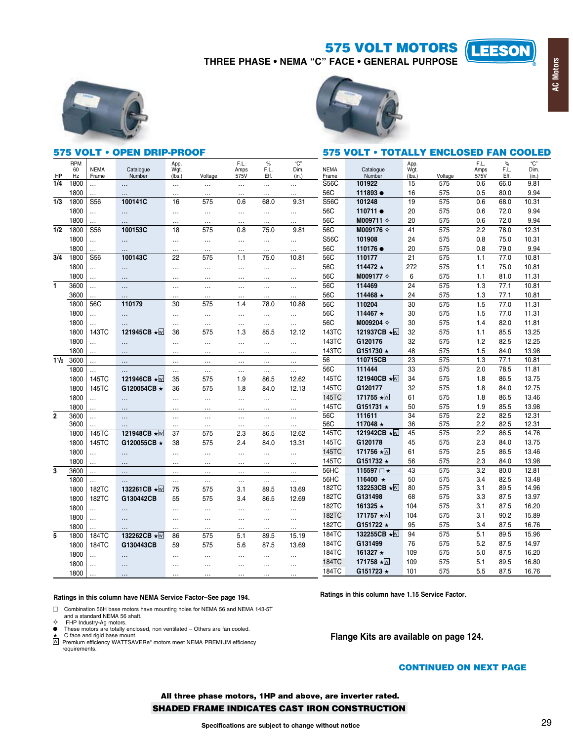# 575 VOLT MOTORS

THREE PHASE . NEMA "C" FACE . GENERAL PURPOSE



**AC Motors** 





|                         |                        |                         | 575 VOLT • OPEN DRIP-PROOF   |                        |          |                      |                      |                      |                      | 575 VOLT • TOTALLY ENCLOSED FAN COOLED |                        |         |                      |                   |                      |
|-------------------------|------------------------|-------------------------|------------------------------|------------------------|----------|----------------------|----------------------|----------------------|----------------------|----------------------------------------|------------------------|---------|----------------------|-------------------|----------------------|
| HP                      | <b>RPM</b><br>60<br>Hz | <b>NEMA</b><br>Frame    | Catalogue<br>Number          | App.<br>Wgt.<br>(lbs.) | Voltage  | F.L.<br>Amps<br>575V | $\%$<br>F.L.<br>Eff. | "C"<br>Dim.<br>(in.) | <b>NEMA</b><br>Frame | Catalogue<br>Number                    | App.<br>Wgt.<br>(lbs.) | Voltage | F.L.<br>Amps<br>575V | %<br>F.L.<br>Eff. | "C"<br>Dim.<br>(in.) |
| 1/4                     | 1800                   | u.                      | $\cdots$                     | $\ldots$               | $\cdots$ | $\ldots$             | $\cdots$             |                      | S56C                 | 101922                                 | 15                     | 575     | 0.6                  | 66.0              | 9.81                 |
|                         | 1800                   | .                       | $\ddotsc$                    | .                      | $\cdots$ | .                    | .                    | $\cdots$             | 56C                  | 111893 ●                               | 16                     | 575     | 0.5                  | 80.0              | 9.94                 |
| 1/3                     | 1800                   | S <sub>56</sub>         | 100141C                      | 16                     | 575      | 0.6                  | 68.0                 | 9.31                 | <b>S56C</b>          | 101248                                 | 19                     | 575     | 0.6                  | 68.0              | 10.31                |
|                         | 1800                   |                         | $\ldots$                     | $\ldots$               | $\cdots$ |                      |                      | $\cdots$             | 56C                  | 110711                                 | 20                     | 575     | 0.6                  | 72.0              | 9.94                 |
|                         | 1800                   |                         | $\cdots$                     | .                      | $\cdots$ | .                    | .                    | .                    | 56C                  | M009711 <b>♦</b>                       | 20                     | 575     | 0.6                  | 72.0              | 9.94                 |
| 1/2                     | 1800                   | S56                     | 100153C                      | 18                     | 575      | 0.8                  | 75.0                 | 9.81                 | 56C                  | M009176 <b>→</b>                       | 41                     | 575     | 2.2                  | 78.0              | 12.31                |
|                         | 1800                   | .                       | $\ldots$                     | $\ldots$               |          |                      |                      | .                    | S56C                 | 101908                                 | 24                     | 575     | 0.8                  | 75.0              | 10.31                |
|                         | 1800                   | $\cdots$                | $\cdots$                     | $\cdots$               | $\cdots$ |                      |                      | .                    | 56C                  | 110176 ●                               | 20                     | 575     | 0.8                  | 79.0              | 9.94                 |
| 3/4                     | 1800                   | $\overline{\text{S}56}$ | 100143C                      | 22                     | 575      | 1.1                  | 75.0                 | 10.81                | 56C                  | 110177                                 | 21                     | 575     | 1.1                  | 77.0              | 10.81                |
|                         | 1800                   |                         | $\ldots$                     | $\ldots$               | $\cdots$ | $\cdots$             | $\cdots$             | $\ldots$             | 56C                  | 114472 ★                               | 272                    | 575     | 1.1                  | 75.0              | 10.81                |
|                         | 1800                   | .                       | $\ddotsc$                    | $\cdots$               | $\cdots$ |                      |                      | $\cdots$             | 56C                  | M009177 ♦                              | 6                      | 575     | 1.1                  | 81.0              | 11.31                |
| $\mathbf{1}$            | 3600                   | $\ddotsc$               | $\ddotsc$                    | $\cdots$               | $\cdots$ | $\ddotsc$            | $\cdots$             | $\ddotsc$            | 56C                  | 114469                                 | 24                     | 575     | 1.3                  | 77.1              | 10.81                |
|                         | 3600                   |                         | $\ddotsc$                    |                        | .        |                      | .                    | .                    | 56C                  | 114468 $\star$                         | 24                     | 575     | 1.3                  | 77.1              | 10.81                |
|                         | 1800                   | 56C                     | 110179                       | 30                     | 575      | 1.4                  | 78.0                 | 10.88                | 56C                  | 110204                                 | 30                     | 575     | 1.5                  | 77.0              | 11.31                |
|                         | 1800                   | $\cdots$                | $\ldots$                     | $\cdots$               | $\cdots$ | $\cdots$             | $\cdots$             | $\cdots$             | 56C                  | 114467 $\star$                         | 30                     | 575     | 1.5                  | 77.0              | 11.31                |
|                         | 1800                   | $\cdots$                | $\cdots$                     | $\ddotsc$              | $\cdots$ |                      | .                    | $\cdots$             | 56C                  | M009204 $\diamond$                     | 30                     | 575     | 1.4                  | 82.0              | 11.81                |
|                         | 1800                   | 143TC                   | 121945CB ★ <u>W</u>          | 36                     | 575      | 1.3                  | 85.5                 | 12.12                | 143TC                | 121937CB ★ <u>W</u>                    | 32                     | 575     | 1.1                  | 85.5              | 13.25                |
|                         | 1800                   | $\ddotsc$               | $\ddotsc$                    | $\cdots$               | $\cdots$ | $\cdots$             | $\cdots$             | .                    | 143TC                | G120176                                | 32                     | 575     | 1.2                  | 82.5              | 12.25                |
|                         | 1800                   |                         | $\cdots$                     | $\cdots$               | $\cdots$ | $\cdots$             | $\cdots$             | $\cdots$             | 143TC                | G151730 *                              | 48                     | 575     | 1.5                  | 84.0              | 13.98                |
| 11/2                    | 3600                   | $\cdots$                | $\ldots$                     | $\cdots$               | $\cdots$ | $\cdots$             | $\cdots$             | $\cdots$             | 56                   | 110715CB                               | 23                     | 575     | 1.3                  | 77.1              | 10.81                |
|                         | 1800                   | $\cdots$                | $\cdots$                     | $\cdots$               | $\cdots$ | $\cdots$             | $\cdots$             | .                    | 56C                  | 111444                                 | 33                     | 575     | 2.0                  | 78.5              | 11.81                |
|                         | 1800                   | 145TC                   | 121946CB ★ W                 | 35                     | 575      | 1.9                  | 86.5                 | 12.62                | 145TC                | 121940CB ★                             | 34                     | 575     | 1.8                  | 86.5              | 13.75                |
|                         | 1800                   | 145TC                   | G120054CB ★                  | 36                     | 575      | 1.8                  | 84.0                 | 12.13                | 145TC                | G120177                                | 32                     | 575     | 1.8                  | 84.0              | 12.75                |
|                         | 1800                   | $\cdots$                | $\cdots$                     | $\ldots$               | $\cdots$ | $\cdots$             | $\cdots$             | .                    | 145TC                | 171755 ★∞                              | 61                     | 575     | 1.8                  | 86.5              | 13.46                |
|                         | 1800                   |                         | $\ddotsc$                    | $\cdots$               | $\cdots$ | $\cdots$             | $\cdots$             | $\cdots$             | 145TC                | G151731 *                              | 50                     | 575     | 1.9                  | 85.5              | 13.98                |
| $\overline{2}$          | 3600                   | $\ddotsc$               | $\ldots$                     | $\cdots$               | $\cdots$ |                      | $\cdots$             | $\cdots$             | 56C                  | 111611                                 | 34                     | 575     | 2.2                  | 82.5              | 12.31                |
|                         | 3600                   | $\ddotsc$               | $\cdots$                     | .                      | $\cdots$ | $\cdots$             | $\cdots$             | $\cdots$             | 56C                  | 117048 ★                               | 36                     | 575     | 2.2                  | 82.5              | 12.31                |
|                         | 1800                   | 145TC                   | 121948CB ★ <u>W</u>          | 37                     | 575      | 2.3                  | 86.5                 | 12.62                | 145TC                | 121942CB *                             | 45                     | 575     | 2.2                  | 86.5              | 14.76                |
|                         | 1800                   | 145TC                   | G120055CB ★                  | 38                     | 575      | 2.4                  | 84.0                 | 13.31                | 145TC                | G120178                                | 45                     | 575     | 2.3                  | 84.0              | 13.75                |
|                         | 1800                   |                         | $\ddotsc$                    | $\sim$                 | $\cdots$ | $\ldots$             | $\cdots$             | $\cdots$             | 145TC                | 171756 ★⊠                              | 61                     | 575     | 2.5                  | 86.5              | 13.46                |
|                         | 1800                   |                         | $\ldots$                     | $\sim$                 | $\cdots$ | $\cdots$             | $\cdots$             | $\cdots$             | 145TC                | G151732 *                              | 56                     | 575     | 2.3                  | 84.0              | 13.98                |
| $\overline{\mathbf{3}}$ | 3600                   |                         | $\cdots$                     | $\cdots$               | $\cdots$ |                      | $\cdots$             | $\cdots$             | 56HC                 | 115597 □ ★                             | 43                     | 575     | 3.2                  | 80.0              | 12.81                |
|                         | 1800                   | $\cdots$                | $\ldots$                     | $\cdots$               | $\cdots$ | $\cdots$             | $\cdots$             | $\ddotsc$            | 56HC                 | 116400 ★                               | 50                     | 575     | 3.4                  | 82.5              | 13.48                |
|                         | 1800                   | 182TC                   | 132261CB ★ <u>W</u>          | 75                     | 575      | 3.1                  | 89.5                 | 13.69                | 182TC                | 132253CB ★ <u>W</u>                    | 80                     | 575     | 3.1                  | 89.5              | 14.96                |
|                         | 1800                   | 182TC                   | G130442CB                    | 55                     | 575      | 3.4                  | 86.5                 | 12.69                | 182TC                | G131498                                | 68                     | 575     | 3.3                  | 87.5              | 13.97                |
|                         | 1800                   | .                       | $\ddotsc$                    | $\ddotsc$              | $\cdots$ | $\cdots$             | $\cdots$             | $\cdots$             | 182TC                | 161325 ★                               | 104                    | 575     | 3.1                  | 87.5              | 16.20                |
|                         | 1800                   | $\cdots$                | $\ldots$                     | $\cdots$               | $\cdots$ | $\cdots$             | $\cdots$             | $\cdots$             | <b>182TC</b>         | 171757 ★∞                              | 104                    | 575     | 3.1                  | 90.2              | 15.89                |
|                         | 1800                   | .                       | $\cdots$                     | .                      | $\cdots$ |                      | $\cdots$             | $\cdots$             | 182TC                | G151722 *                              | 95                     | 575     | 3.4                  | 87.5              | 16.76                |
| $\overline{5}$          | 1800                   | 184TC                   | 132262CB $\star\overline{w}$ | 86                     | 575      | 5.1                  | 89.5                 | 15.19                | 184TC                | 132255CB ★ M                           | 94                     | 575     | 5.1                  | 89.5              | 15.96                |
|                         | 1800                   | 184TC                   | G130443CB                    | 59                     | 575      | 5.6                  | 87.5                 | 13.69                | 184TC                | G131499                                | 76                     | 575     | 5.2                  | 87.5              | 14.97                |
|                         | 1800                   | .                       | $\ddotsc$                    | $\ddotsc$              | $\cdots$ | $\cdots$             | $\cdots$             | $\ldots$             | 184TC                | 161327 ★                               | 109                    | 575     | 5.0                  | 87.5              | 16.20                |
|                         | 1800                   | $\cdots$                | $\cdots$                     | $\cdots$               | $\cdots$ | $\cdots$             | $\cdots$             | $\cdots$             | <b>184TC</b>         | 171758 ★                               | 109                    | 575     | 5.1                  | 89.5              | 16.80                |
|                         | 1800                   |                         |                              |                        |          |                      |                      |                      | 184TC                | G151723 *                              | 101                    | 575     | 5.5                  | 87.5              | 16.76                |

### Ratings in this column have NEMA Service Factor-See page 194.

Ratings in this column have 1.15 Service Factor.

- Combination 56H base motors have mounting holes for NEMA 56 and NEMA 143-5T
- and a standard NEMA 56 shaft.<br>FHP Industry-Ag motors. ♦
- These motors are totally enclosed, non ventilated Others are fan cooled.  $\bullet$
- 
- ★ C face and rigid base mount.<br>
W Premium efficiency WATTSAVERe® motors meet NEMA PREMIUM efficiency requirements.

Flange Kits are available on page 124.

# **CONTINUED ON NEXT PAGE**

All three phase motors, 1HP and above, are inverter rated. SHADED FRAME INDICATES CAST IRON CONSTRUCTION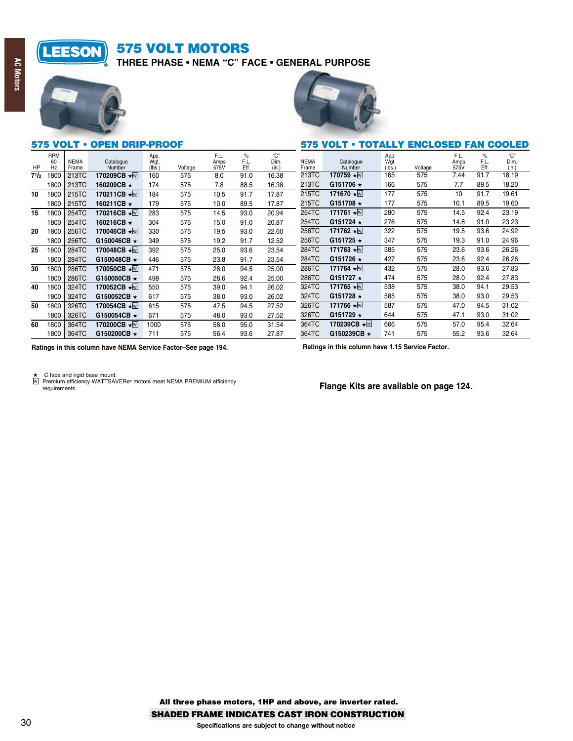# **575 VOLT MOTORS LEESON**

THREE PHASE . NEMA "C" FACE . GENERAL PURPOSE



575 VOLT . OPEN DRIP-PROOF



# 575 VOLT • TOTALLY ENCLOSED FAN COOLED

| HP        | <b>RPM</b><br>60<br>Hz | <b>NEMA</b><br>Frame | Catalogue<br>Number     | App.<br>Wgt.<br>(lbs. | Voltage | F.L.<br>Amps<br>575V | $\%$<br>F.L.<br>Eff. | C <sup>n</sup><br>Dim.<br>(in.) | <b>NEMA</b><br>Frame | Catalogue<br>Number              | App.<br>Wat.<br>(lbs. | Voltage | F.L.<br>Amps<br>575V | %<br>F.L.<br>Eff. | C <sup>n</sup><br>Dim.<br>(in.) |
|-----------|------------------------|----------------------|-------------------------|-----------------------|---------|----------------------|----------------------|---------------------------------|----------------------|----------------------------------|-----------------------|---------|----------------------|-------------------|---------------------------------|
| $7^{1/2}$ | 1800                   | 213TC                | 170209CB ★M             | 160                   | 575     | 8.0                  | 91.0                 | 16.38                           | 213TC                | 170759 ★w                        | 165                   | 575     | 7.44                 | 91.7              | 18.19                           |
|           | 1800                   | 213TC                | 160209CB ★              | 174                   | 575     | 7.8                  | 88.5                 | 16.38                           | 213TC                | G151706 ★                        | 166                   | 575     | 7.7                  | 89.5              | 18.20                           |
| 10        | 1800                   | 215TC                | 170211CB ★ w            | 184                   | 575     | 10.5                 | 91.7                 | 17.87                           | 215TC                | 171670 ★w                        | 177                   | 575     | 10                   | 91.7              | 19.61                           |
|           | 1800                   | 215TC                | 160211CB ★              | 179                   | 575     | 10.0                 | 89.5                 | 17.87                           | 215TC                | G151708 $\star$                  | 177                   | 575     | 10.1                 | 89.5              | 19.60                           |
| 15        | 1800                   | 254TC                | 170216CB <b>*</b> ™     | 283                   | 575     | 14.5                 | 93.0                 | 20.94                           | 254TC                | $\star^{\overline{w}}$<br>171761 | 280                   | 575     | 14.5                 | 92.4              | 23.19                           |
|           | 1800                   | 254TC                | 160216CB ★              | 304                   | 575     | 15.0                 | 91.0                 | 20.87                           | 254TC                | G151724 $\star$                  | 276                   | 575     | 14.8                 | 91.0              | 23.23                           |
| 20        | 1800                   | 256TC                | 170046CB ★M             | 330                   | 575     | 19.5                 | 93.0                 | 22.60                           | 256TC                | 171762 ★w                        | 322                   | 575     | 19.5                 | 93.6              | 24.92                           |
|           | 1800                   | 256TC                | G150046CB $\star$       | 349                   | 575     | 19.2                 | 91.7                 | 12.52                           | 256TC                | G151725 $\star$                  | 347                   | 575     | 19.3                 | 91.0              | 24.96                           |
| 25        | 1800                   | 284TC                | 170048CB ★ w            | 392                   | 575     | 25.0                 | 93.6                 | 23.54                           | 284TC                | 171763 ★w                        | 385                   | 575     | 23.6                 | 93.6              | 26.26                           |
|           | 1800                   | 284TC                | G150048CB $\star$       | 446                   | 575     | 23.8                 | 91.7                 | 23.54                           | 284TC                | G151726 ★                        | 427                   | 575     | 23.6                 | 92.4              | 26.26                           |
| 30        | 1800                   | 286TC                | 170050CB ★ <sub>W</sub> | 471                   | 575     | 28.0                 | 94.5                 | 25.00                           | 286TC                | 171764 ★w                        | 432                   | 575     | 28.0                 | 93.6              | 27.83                           |
|           | 1800                   | 286TC                | G150050CB *             | 498                   | 575     | 28.6                 | 92.4                 | 25.00                           | 286TC                | G151727 $\star$                  | 474                   | 575     | 28.0                 | 92.4              | 27.83                           |
| 40        | 1800                   | 324TC                | 170052CB ★W             | 550                   | 575     | 39.0                 | 94.1                 | 26.02                           | 324TC                | 171765 ★w                        | 538                   | 575     | 38.0                 | 94.1              | 29.53                           |
|           | 1800                   | 324TC                | G150052CB $\star$       | 617                   | 575     | 38.0                 | 93.0                 | 26.02                           | 324TC                | G151728 $\star$                  | 585                   | 575     | 38.0                 | 93.0              | 29.53                           |
| 50        | 1800                   | 326TC                | 170054CB ★ w            | 615                   | 575     | 47.5                 | 94.5                 | 27.52                           | 326TC                | 171766 ★ <sub>W</sub>            | 587                   | 575     | 47.0                 | 94.5              | 31.02                           |
|           | 1800                   | 326TC                | G150054CB $\star$       | 671                   | 575     | 48.0                 | 93.0                 | 27.52                           | 326TC                | G151729 $\star$                  | 644                   | 575     | 47.1                 | 93.0              | 31.02                           |
| 60        | 1800                   | 364TC                | 170200CB ★ w            | 1000                  | 575     | 58.0                 | 95.0                 | 31.54                           | 364TC                | 170239CB ★ <u> w</u>             | 666                   | 575     | 57.0                 | 95.4              | 32.64                           |
|           | 1800                   | 364TC                | G150200CB ★             | 711                   | 575     | 56.4                 | 93.6                 | 27.87                           | 364TC                | G150239CB $\star$                | 741                   | 575     | 55.2                 | 93.6              | 32.64                           |

Ratings in this column have NEMA Service Factor-See page 194.

Ratings in this column have 1.15 Service Factor.

★ C face and rigid base mount.<br>
IM Premium efficiency WATTSAVERe® motors meet NEMA PREMIUM efficiency<br>
requirements.

Flange Kits are available on page 124.

**AC Motors**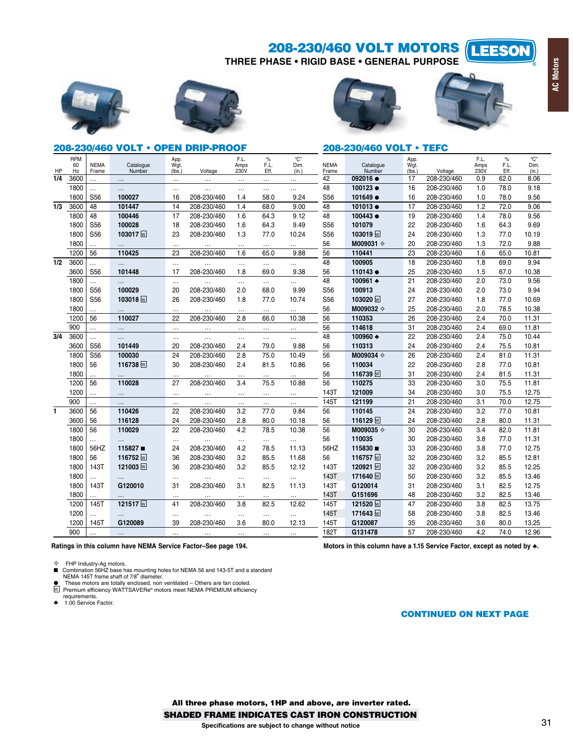208-230/460 VOLT MOTORS

THREE PHASE . RIGID BASE . GENERAL PURPOSE



**RPM** 

 $60$ 

Hz

 $3600$ 

1800

1800

1800

1800

1800

1800

 $1200$ 

3600

1800

1800

1800

1800

1200

900

3600

3600

1800

1800

1800

1200

1200

 $900$ 

3600

3600

1800

1800

1800

1800

1800

1800

1800

1800

1200

1200

1200

900

 $\overline{1/4}$ 

 $\overline{1/3}$ 3600

 $\overline{1/2}$ 3600

 $\overline{3/4}$ 

ī







**LEESON** 

**AC Motors** 

### 208-230/460 VOLT . OPEN DRIP-PROOF 208-230/460 VOLT . TEFC  $C<sup>n</sup>$ F.L.  $C<sup>n</sup>$ App.<br>Wgt. F.L App<br>Wgt  $E^{\sim}$  $F^{\prime}$ **NEMA** Catalogue Amps Dim. **NFMA** Catalogue Amps Dim Voltage  $rac{Frame}{42}$ Frame Number  $(lbs.)$ 230V Eff  $(in.)$ (lbs. Voltage 230V Eff  $(in.)$ Numbe  $092016 \bullet$ 208-230/460  $62.0$  $0.9$  $8.06$  $17$  $\ldots$  $\ldots$  $\cdots$  $\overline{48}$  $100123$ 208-230/460 16  $1.0$ 78.0 9.18  $\ddotsc$  $\ddotsc$  $\ddotsc$  $\ddotsc$  $\ddotsc$  $\ddotsc$  $\ddotsc$ 208-230/460 S56 101649 ● 208-230/460 78.0 S56 100027 16  $1.4$ 58.0 9.24 16  $1.0$ 9.56 48 101447  $14$ 208-230/460  $1.4$ 68.0 9.00 48 101013 ●  $17$ 208-230/460  $1.2$ 72.0 9.06 100446  $17$ 208-230/460  $9.12$  $\overline{48}$  $100443$  $19$ 208-230/460 78.0 48  $1.6$ 64.3  $14$ 9.56  $S56$ 100028 18 208-230/460  $1.6$ 64.3 949  $S56$ 101079  $22$ 208-230/460  $1.6$ 64.3 9.69 103017 S<sub>56</sub> 23 208-230/460  $1.3$ 77.0 10.24 S<sub>56</sub> 103019 w 24 208-230/460  $1.3$  $77.0$ 10.19 56 M009031  $\diamond$ 20 208-230/460  $1.3$ 72.0 9.88  $\overline{56}$ 110425 208-230/460 9.88 110441  $23$ 208-230/460  $16$  $10.81$ 23 65.0 65.0 56  $1.6$  $\overline{48}$ 100905 18 208-230/460  $1.8$ 69.0 9.94  $\ddotsc$  $\ddotsc$  $\ddotsc$  $\ddotsc$  $\ddotsc$  $\ddotsc$ S56 101448  $17$ 208-230/460  $1.8$ 69.0 9.38 56 110143 ● 25 208-230/460  $1.5$ 67.0 10.38 48 100961 +  $21$ 208-230/460  $2.0$ 73.0 9.56  $\ddotsc$  $\ddotsc$  $\ddotsc$  $\ddotsc$  $\ddotsc$ 100029 20 208-230/460  $2.0$ 9.99 **S56** 100913  $24$ 208-230/460  $20$ S<sub>56</sub> 68.0 73.0 9.94 S<sub>56</sub> 103018 208-230/460 S<sub>56</sub> 103020 W  $27$ 26  $1.8$ 77.0 10.74 208-230/460  $1.8$ 77.0 10.69 56 M009032 <br/>  $\diamond$ 25 208-230/460  $2.0$ 78.5 10.38 56 110027 22 208-230/460  $2.8$ 66.0 10.38 56 110353 26 208-230/460  $2.4$ 70.0 11.31  $\overline{56}$ 114618  $31$ 208-230/460  $24$ 690 11.81  $\ddotsc$  $\ddot{\phantom{a}}$  $\ddotsc$ 48 100960 + 22 208-230/460  $2.4$ 75.0 10.44  $\ddotsc$ ... S56 101449 20 208-230/460  $2.4$ 79.0 9.88 56 110313 24 208-230/460  $2.4$ 75.5 10.81 100030  $24$ 208-230/460  $2.8$ 75.0 10.49 56 M009034  $\diamond$ 26 208-230/460  $2.4$ 81.0 11.31 S<sub>56</sub> 116738 $\overline{w}$  $22$ 56  $30$ 208-230/460  $24$ 81.5 10.86 56 110034 208-230/460  $28$  $770$ 10.81 56 116739<sub>W</sub>  $31$ 208-230/460  $2.4$ 81.5 11.31 110028 27 208-230/460  $3.4$ 75.5 10.88 56 110275 33 208-230/460  $3.0$ 11.81 56 75.5 121009 34 208-230/460 1437  $3.0$ 75.5 12.75 145T 121199  $21$ 208-230/460  $3.1$ 70.0 1275  $\ddot{\phantom{a}}$  $\ddotsc$  $\overline{56}$  $\overline{24}$ 110426  $22$ 208-230/460  $32$  $77.0$ 110145 208-230/460  $3.2$ 10.81 56 9.84 77.0 56 116128  $24$ 208-230/460  $28$ 80.0 10.18 56 116129<sub>M</sub> 24 208-230/460  $2.8$  $80.0$ 11.31 110029  $22$ 56 M009035  $\diamond$ 30 56 208-230/460  $4.2$ 78.5 10.38 208-230/460  $3.4$ 82.0 11.81 56 110035 30 208-230/460  $3.8$ 77.0 11.31  $\ddotsc$  $\ddotsc$  $\ddotsc$  $\ddotsc$  $\ddotsc$  $\ddotsc$ 115830 56HZ  $115827$ 24 208-230/460  $4.2$ 78.5 11.13 56HZ 33 208-230/460  $3.8$ 77.0 12.75 116752 116757<sub>W</sub> 36 208-230/460  $32$ 32 208-230/460  $32$ 56 85.5 11.68 56 85.5 12.81 143T 121003<sub>M</sub> 36 208-230/460  $32$ 85.5 12.12 143T 120921<sub>W</sub> 32 208-230/460  $3.2$ 85.5 12.25 **143T** 171640 W 50 208-230/460  $3.2$ 85.5 13.46  $\ddotsc$  $\ddotsc$  $\ddotsc$  $\ddotsc$  $\ddotsc$ 143T G120010  $31$ 208-230/460  $3.1$ 82.5 11.13 143T G120014 31 208-230/460  $3.1$ 82.5 12.75

143T

1451

145T

145T

182T

G151696

121520 W

171643 W

G120087

G131478

Ratings in this column have NEMA Service Factor-See page 194.

121517<sub>M</sub>

G120089

Motors in this column have a 1.15 Service Factor, except as noted by  $\clubsuit$ .

208-230/460

208-230/460

208-230/460

208-230/460

208-230/460

 $32$ 

 $3.8$ 

 $3.8$ 

3.6

 $4.2$ 

82.5

82.5

82.5

80.0

74.0

13.46

13.75

13.46

13.25

12.96

48

47

58

35

57

FHP Industry-Ag motors.

**145T** 

145T

 $\ddotsc$ 

Combination 56HZ base has mounting holes for NEMA 56 and 143-5T and a standard NFMA 145T frame shaft of 7/8" diameter

41

 $\ddotsc$ 

39

208-230/460

 $\ddotsc$ 

208-230/460

 $3.8$ 

 $\ddotsc$ 

 $3.6$ 

82.5

 $\ddotsc$ 

80.0

12.62

12.13

 $\ddotsc$ 

These motors are totally enclosed, non ventilated - Others are fan cooled.

Premium efficiency WATTSAVERe® motors meet NEMA PREMIUM efficiency

requirements.<br>1.00 Service Factor

**CONTINUED ON NEXT PAGE** 

All three phase motors, 1HP and above, are inverter rated.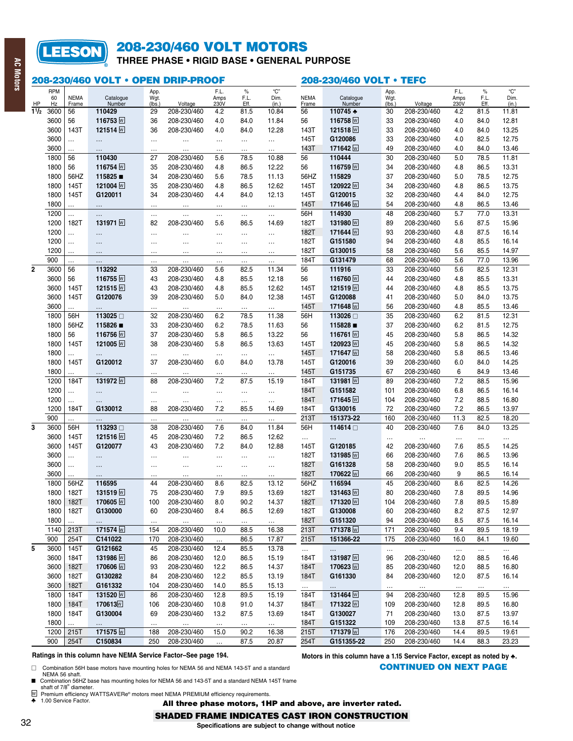# LEESON

**AC Motors** 

# 208-230/460 VOLT MOTORS

THREE PHASE . RIGID BASE . GENERAL PURPOSE

# 208-230/460 VOLT . OPEN DRIP-PROOF

# 208-230/460 VOLT . TEFC

|                | <b>RPM</b><br>60 | <b>NEMA</b>   | Catalogue                       | App.<br>Wgt.   |                            | F.L.<br>Amps    | $\%$<br>F.L.     | "C"<br>Dim.          | <b>NEMA</b>  | Catalogue                       | App.<br>Wgt. |                            | F.L.<br>Amps | $\%$<br>F.L.                | "С"<br>Dim.    |
|----------------|------------------|---------------|---------------------------------|----------------|----------------------------|-----------------|------------------|----------------------|--------------|---------------------------------|--------------|----------------------------|--------------|-----------------------------|----------------|
| HP             | Hz               | Frame         | Number                          | (lbs.]         | Voltage                    | 230V            | Eff.             | (in.)                | Frame        | Number                          | (lbs.)       | Voltage                    | 230V         | Eff.                        | (in.)          |
| 11/2           | 3600             | 56            | 110429<br>116753 <sub>W</sub>   | 29             | 208-230/460                | 4.2             | 81.5             | 10.84                | 56           | 110745 +<br>116758 <sub>M</sub> | 30           | 208-230/460<br>208-230/460 | 4.2          | 81.5<br>84.0                | 11.81          |
|                | 3600<br>3600     | 56<br>143T    | 121514 W                        | 36<br>36       | 208-230/460<br>208-230/460 | 4.0<br>4.0      | 84.0<br>84.0     | 11.84<br>12.28       | 56<br>143T   | 121518 <sub>M</sub>             | 33<br>33     | 208-230/460                | 4.0<br>4.0   | 84.0                        | 12.81<br>13.25 |
|                | 3600             |               |                                 |                |                            |                 |                  |                      | 145T         | G120086                         | 33           | 208-230/460                | 4.0          | 82.5                        | 12.75          |
|                | 3600             | .<br>$\cdots$ | $\cdots$<br>$\cdots$            | $\cdots$       | .                          | $\cdots$        | $\cdots$         | $\cdots$<br>$\cdots$ | 143T         | 171642 <sub>M</sub>             | 49           | 208-230/460                | 4.0          | 84.0                        | 13.46          |
|                | 1800             | 56            | 110430                          | $\cdots$<br>27 | $\cdots$<br>208-230/460    | $\cdots$<br>5.6 | $\cdots$<br>78.5 | 10.88                | 56           | 110444                          | 30           | 208-230/460                | 5.0          | 78.5                        | 11.81          |
|                | 1800             | 56            | 116754 W                        | 35             | 208-230/460                | 4.8             | 86.5             | 12.22                | 56           | 116759 <sub>M</sub>             | 34           | 208-230/460                | 4.8          | 86.5                        | 13.31          |
|                | 1800             | 56HZ          | 115825                          | 34             | 208-230/460                | 5.6             | 78.5             | 11.13                | 56HZ         | 115829                          | 37           | 208-230/460                | 5.0          | 78.5                        | 12.75          |
|                | 1800             | 145T          | 121004 W                        | 35             | 208-230/460                | 4.8             | 86.5             | 12.62                | 145T         | 120922 <sub>M</sub>             | 34           | 208-230/460                | 4.8          | 86.5                        | 13.75          |
|                | 1800             | 145T          | G120011                         | 34             | 208-230/460                | 4.4             | 84.0             | 12.13                | 145T         | G120015                         | 32           | 208-230/460                | 4.4          | 84.0                        | 12.75          |
|                | 1800             | .             | $\cdots$                        |                | .                          | $\cdots$        | $\cdots$         | $\cdots$             | 145T         | 171646                          | 54           | 208-230/460                | 4.8          | 86.5                        | 13.46          |
|                | 1200             |               | $\cdots$                        | $\ddotsc$      | $\ldots$                   | $\ldots$        | $\ldots$         | $\cdots$             | 56H          | 114930                          | 48           | 208-230/460                | 5.7          | 77.0                        | 13.31          |
|                | 1200             | 182T          | 131971 W                        | 82             | 208-230/460                | 5.6             | 86.5             | 14.69                | 182T         | 131980                          | 89           | 208-230/460                | 5.6          | 87.5                        | 15.96          |
|                | 1200             | .             | $\cdots$                        | $\cdots$       | $\cdots$                   | $\ldots$        | $\cdots$         | $\cdots$             | 182T         | 171644 <sub>M</sub>             | 93           | 208-230/460                | 4.8          | 87.5                        | 16.14          |
|                | 1200             |               | $\cdots$                        |                | $\cdots$                   | $\cdots$        | $\cdots$         | $\cdots$             | 182T         | G151580                         | 94           | 208-230/460                | 4.8          | 85.5                        | 16.14          |
|                | 1200             |               | $\cdots$                        |                | $\cdots$                   | $\cdots$        | $\cdots$         | $\cdots$             | 182T         | G130015                         | 58           | 208-230/460                | 5.6          | 85.5                        | 14.97          |
|                | 900              | .             | $\cdots$                        | $\ldots$       | $\cdots$                   | $\ldots$        | $\cdots$         | $\cdots$             | 184T         | G131479                         | 68           | 208-230/460                | 5.6          | 77.0                        | 13.96          |
| $\overline{2}$ | 3600             | 56            | 113292                          | 33             | 208-230/460                | 5.6             | 82.5             | 11.34                | 56           | 111916                          | 33           | 208-230/460                | 5.6          | 82.5                        | 12.31          |
|                | 3600             | 56            | 116755 <sub>W</sub>             | 43             | 208-230/460                | 4.8             | 85.5             | 12.18                | 56           | 116760                          | 44           | 208-230/460                | 4.8          | 85.5                        | 13.31          |
|                | 3600             | 145T          | 121515 <sub>W</sub>             | 43             | 208-230/460                | 4.8             | 85.5             | 12.62                | 145T         | 121519 <sub>M</sub>             | 44           | 208-230/460                | 4.8          | 85.5                        | 13.75          |
|                | 3600             | 145T          | G120076                         | 39             | 208-230/460                | 5.0             | 84.0             | 12.38                | 145T         | G120088                         | 41           | 208-230/460                | 5.0          | 84.0                        | 13.75          |
|                | 3600             | .             | $\cdots$                        | $\cdots$       |                            | $\ldots$        | $\cdots$         | $\cdots$             | 145T         | 171648                          | 56           | 208-230/460                | 4.8          | 85.5                        | 13.46          |
|                | 1800             | 56H           | 113025 □<br>115826              | 32             | 208-230/460<br>208-230/460 | 6.2             | 78.5             | 11.38<br>11.63       | 56H          | 113026 □<br>115828              | 35<br>37     | 208-230/460<br>208-230/460 | 6.2<br>6.2   | 81.5<br>81.5                | 12.31<br>12.75 |
|                | 1800<br>1800     | 56HZ<br>56    | 116756 <sub>W</sub>             | 33<br>37       | 208-230/460                | 6.2<br>5.8      | 78.5<br>86.5     | 13.22                | 56<br>56     | 116761 <sub>M</sub>             | 45           | 208-230/460                | 5.8          | 86.5                        | 14.32          |
|                | 1800             | 145T          | 121005 w                        | 38             | 208-230/460                | 5.8             | 86.5             | 13.63                | 145T         | 120923 W                        | 45           | 208-230/460                | 5.8          | 86.5                        | 14.32          |
|                | 1800             | $\cdots$      | $\cdots$                        |                | $\cdots$                   | $\cdots$        |                  | $\cdots$             | 145T         | 171647 <sub>W</sub>             | 58           | 208-230/460                | 5.8          | 86.5                        | 13.46          |
|                | 1800             | 145T          | G120012                         | $\cdots$<br>37 | 208-230/460                | 6.0             | $\cdots$<br>84.0 | 13.78                | 145T         | G120016                         | 39           | 208-230/460                | 6.0          | 84.0                        | 14.25          |
|                | 1800             |               | $\cdots$                        |                |                            | $\cdots$        | $\cdots$         | .                    | 145T         | G151735                         | 67           | 208-230/460                | 6            | 84.9                        | 13.46          |
|                | 1200             | 184T          | 131972 W                        | 88             | 208-230/460                | 7.2             | 87.5             | 15.19                | 184T         | 131981 M                        | 89           | 208-230/460                | 7.2          | 88.5                        | 15.96          |
|                | 1200             | .             | $\ldots$                        |                | .                          | $\ldots$        | $\cdots$         | $\cdots$             | 184T         | G151582                         | 101          | 208-230/460                | 6.8          | 86.5                        | 16.14          |
|                | 1200             | .             | $\cdots$                        | $\cdots$       |                            | $\cdots$        | $\cdots$         | $\cdots$             | 184T         | 171645 W                        | 104          | 208-230/460                | 7.2          | 88.5                        | 16.80          |
|                | 1200             | 184T          | G130012                         | 88             | 208-230/460                | 7.2             | 85.5             | 14.69                | 184T         | G130016                         | 72           | 208-230/460                | 7.2          | 86.5                        | 13.97          |
|                | 900              | .             | $\cdots$                        | $\ddotsc$      |                            | $\ldots$        |                  | $\cdots$             | 213T         | 151373-22                       | 160          | 208-230/460                | 11.3         | 82.5                        | 18.20          |
| 3              | 3600             | 56H           | 113293 □                        | 38             | 208-230/460                | 7.6             | 84.0             | 11.84                | 56H          | 114614 □                        | 40           | 208-230/460                | 7.6          | 84.0                        | 13.25          |
|                | 3600             | 145T          | 121516 W                        | 45             | 208-230/460                | 7.2             | 86.5             | 12.62                | $\cdots$     | $\cdots$                        | $\ldots$     |                            | $\ldots$     | $\mathcal{L}_{\mathcal{A}}$ | $\ldots$       |
|                | 3600             | 145T          | G120077                         | 43             | 208-230/460                | 7.2             | 84.0             | 12.88                | 145T         | G120185                         | 42           | 208-230/460                | 7.6          | 85.5                        | 14.25          |
|                | 3600             | .             | $\cdots$                        | $\ddotsc$      |                            | $\cdots$        | $\cdots$         | $\cdots$             | 182T         | 131985 ₪                        | 66           | 208-230/460                | 7.6          | 86.5                        | 13.96          |
|                | 3600             | .             |                                 | .              | .                          | $\ddotsc$       | $\cdots$         | $\cdots$             | 182T         | G161328                         | 58           | 208-230/460                | 9.0          | 85.5                        | 16.14          |
|                | 3600<br>1800     | 56HZ          | $\cdots$<br>116595              | .<br>44        | .<br>208-230/460           | $\cdots$<br>8.6 | $\cdots$<br>82.5 | $\cdots$<br>13.12    | 182T<br>56HZ | 170622 W<br>116594              | 66<br>45     | 208-230/460<br>208-230/460 | 9<br>8.6     | 86.5<br>82.5                | 16.14<br>14.26 |
|                | 1800             | 182T          | 131519 <sub>W</sub>             | 75             | 208-230/460                | 7.9             | 89.5             | 13.69                | 182T         | 131463 <sub>M</sub>             | 80           | 208-230/460                | 7.8          | 89.5                        | 14.96          |
|                | 1800             | 182T          | 170605 w                        | 100            | 208-230/460                | 8.0             | 90.2             | 14.37                | 182T         | 171320 W                        | 104          | 208-230/460                | 7.8          | 89.5                        | 15.89          |
|                | 1800             | 182T          | G130000                         | 60             | 208-230/460                | 8.4             | 86.5             | 12.69                | 182T         | G130008                         | 60           | 208-230/460                | 8.2          | 87.5                        | 12.97          |
|                | 1800             |               | $\sim 10^{-1}$                  | $\cdots$       | $\ldots$                   | $\cdots$        | $\cdots$         | $\sim$ .             | 182T         | G151320                         | 94           | 208-230/460                | 8.5          | 87.5                        | 16.14          |
|                | 1140             | 213T          | 171574 M                        | 154            | 208-230/460                | 10.0            | 88.5             | 16.38                | 213T         | 171378 <sub>W</sub>             | 171          | 208-230/460                | 9.4          | 89.5                        | 18.19          |
|                | 900              | 254T          | C141022                         | 170            | 208-230/460                | $\ldots$        | 86.5             | 17.87                | 215T         | 151366-22                       | 175          | 208-230/460                | 16.0         | 84.1                        | 19.60          |
| 5              | 3600             | 145T          | G121662                         | 45             | 208-230/460                | 12.4            | 85.5             | 13.78                | $\sim$       | $\sim 10^{-1}$                  | $\ldots$     | $\sim$                     | $\ldots$     | $\sim$                      | $\sim$         |
|                | 3600             | 184T          | 131986 w                        | 86             | 208-230/460                | 12.0            | 86.5             | 15.19                | 184T         | 131987 <sub>W</sub>             | 96           | 208-230/460                | 12.0         | 88.5                        | 16.46          |
|                | 3600             | 182T          | 170606 W                        | 93             | 208-230/460                | 12.2            | 86.5             | 14.37                | 184T         | 170623 ₪                        | 85           | 208-230/460                | 12.0         | 88.5                        | 16.80          |
|                | 3600             | 182T          | G130282                         | 84             | 208-230/460                | 12.2            | 85.5             | 13.19                | 184T         | G161330                         | 84           | 208-230/460                | 12.0         | 87.5                        | 16.14          |
|                | 3600             | 182T          | G161332                         | 104            | 208-230/460                | 14.0            | 85.5             | 15.13                | $\sim$       | $\sim$                          | $\ldots$     | $\sim$                     | $\ldots$     | $\mathcal{L}_{\mathcal{A}}$ | $\ldots$       |
|                | 1800             | 184T          | 131520 W                        | 86             | 208-230/460                | 12.8            | 89.5             | 15.19                | 184T         | 131464 $\overline{w}$           | 94           | 208-230/460                | 12.8         | 89.5                        | 15.96          |
|                | 1800             | 184T          | 170613 <sub>M</sub>             | 106            | 208-230/460                | 10.8            | 91.0             | 14.37                | 184T         | 171322 M                        | 109          | 208-230/460                | 12.8         | 89.5                        | 16.80          |
|                | 1800             | 184T          | G130004                         | 69             | 208-230/460                | 13.2            | 87.5             | 13.69                | 184T         | G130027                         | 71           | 208-230/460                | 13.0         | 87.5                        | 13.97          |
|                | 1800             |               | $\sim$ .<br>171575 <sub>W</sub> | $\cdots$       | $\ldots$                   | $\ldots$        | $\ldots$         | $\cdots$             | 184T         | G151322<br>171379 <sub>M</sub>  | 109          | 208-230/460                | 13.8         | 87.5                        | 16.14          |
|                | 1200<br>900      | 215T<br>254T  | C150834                         | 188<br>250     | 208-230/460<br>208-230/460 | 15.0            | 90.2             | 16.38<br>20.87       | 215T<br>254T | G151355-22                      | 176<br>250   | 208-230/460<br>208-230/460 | 14.4<br>14.4 | 89.5<br>88.3                | 19.61<br>23.23 |
|                |                  |               |                                 |                |                            | $\ldots$        | 87.5             |                      |              |                                 |              |                            |              |                             |                |

# Ratings in this column have NEMA Service Factor-See page 194.

Motors in this column have a 1.15 Service Factor, except as noted by 4. **CONTINUED ON NEXT PAGE** 

□ Combination 56H base motors have mounting holes for NEMA 56 and NEMA 143-5T and a standard NEMA 56 shaft.

■ Combination 56HZ base has mounting holes for NEMA 56 and 143-5T and a standard NEMA 145T frame

```
shaft of 7/8" diameter.<br>
<sup>■</sup> Premium efficiency WATTSAVERe® motors meet NEMA PREMIUM efficiency requirements.
```
+ 1.00 Service Factor.

All three phase motors, 1HP and above, are inverter rated.

**SHADED FRAME INDICATES CAST IRON CONSTRUCTION**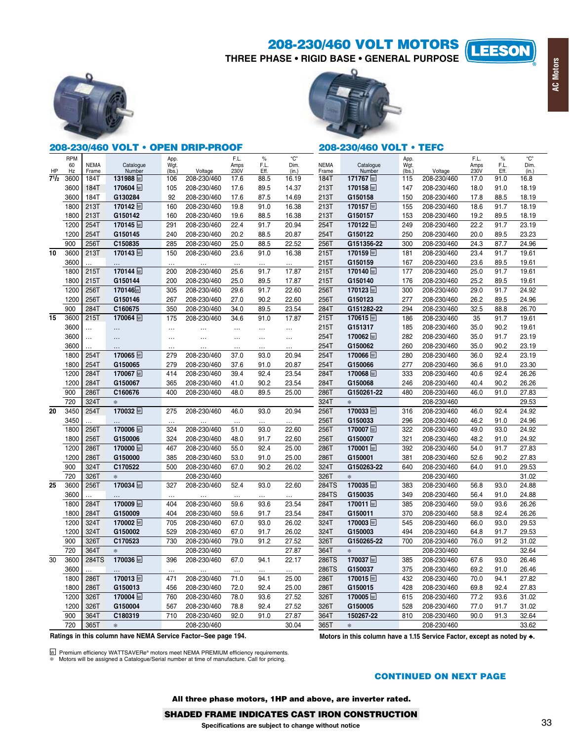208-230/460 VOLT MOTORS

THREE PHASE . RIGID BASE . GENERAL PURPOSE



RPM

60

Hz

3600

3600

1800

1800

 $1200$ 

1200

900

3600

1800

1800

1200

1200

900

3600

3600

3600

1800

1800

1200

1200

900

720

 $3450$ 

3450

1800

1800

 $1200$ 

1200

900

720

3600

3600

1800

1800

1200

1200

900

720

3600

1800

1800

1200

1200

900

720

286T

**286T** 

326T

326T

364T

365T

 $\overline{20}$ 

 $25$ 

 $\overline{30}$ 3600

 $\frac{1}{7^{1/2}}$ 3600

 $\overline{10}$  $3600$ 

 $\overline{15}$ 3600



### 208-230/460 VOLT . OPEN DRIP-PROOF 208-230/460 VOLT . TEFC  $\overline{C}$ F.L. "ن E.L. App App Catalogue Catalogue **NEMA** ...<br>Wgt FĹ Dim. **NEMA** Wgt FĹ Dim Amps Amps Numb Voltage 230V Eff  $(in.)$  $frac{Frame}{184T}$ Voltage 230V  $(in.)$ Frame (lbs. (lbs Fff 131988<sub>M</sub> 208-230/460  $88.5$ 171767<sub>W</sub> 208-230/460  $91.0$ 184T 16.19  $16.8$ 106 17.6 115  $17.0$ **184T** 170604 W 105 208-230/460 17.6 89.5 14.37 213T 170158<sub>M</sub> 147 208-230/460 18.0  $91.0$ 18.19 184T G130284 92 208-230/460 17.6 87.5 14.69 213T G150158 150 208-230/460 17.8 88.5 18.19 213T 170142 $\overline{w}$ 160 208-230/460 19.8 91.0 16.38 213T 170157<sub>W</sub> 155 208-230/460 18.6  $91.7$ 18.19 G150142 208-230/460 16.38 213T G150157 213T 160 19.6 88.5 153 208-230/460  $19.2$ 89.5 18.19 254T 170145 W  $291$ 208-230/460  $224$  $917$  $20.94$ 254T 170122 W  $249$ 208-230/460  $222$  $\overline{917}$  $2319$ 254T G150145 240 208-230/460 20.2 88.5 20.87 254T G150122 250 208-230/460 20.0 89.5 23.23 88.5 87.7 256T C150835 285 208-230/460  $25.0$ 22.52 256T G151356-22 300 208-230/460 24.3 24.96  $170143$   $\overline{w}$  $150$ 208-230/460  $91.0$ 16.38  $215T$ 170159<sub>M</sub>  $23.4$  $91.7$ 19.61 213T 181 208-230/460 23.6 215T G150159 167 208-230/460 23.6 89.5 19.61 170144 図 **215T** 200 208-230/460 25.6 91.7 17.87 215T 170140<sub>M</sub> 177 208-230/460  $25.0$ 91.7 19.61 25.0 215T G150144 200 208-230/460 89.5 17.87 215T G150140 176 208-230/460 25.2 89.5 19.61 170146<sub>W</sub> 208-230/460 91.7 22.60 256T 170123<sub>W</sub> 91.7 256T 305 29.6 300 208-230/460 29.0 24.92 256T G150146 267 208-230/460 27.0  $902$ 22.60 256T G150123 277 208-230/460 89.5 24.96 26.2 284T C160675 350 208-230/460 34.0 89.5 23.54 284T G151282-22 294 208-230/460 32.5 88.8 26.70 **215T** 170064<sub>M</sub> 175 208-230/460 34.6 91.0  $17.87$  $215T$ 170615<sub>W</sub> 186 208-230/460 35 91.7 19.61 215T G151317 185 208-230/460  $35.0$ 90.2 19.61  $\ddotsc$  $\ddotsc$ ...  $\ddotsc$ . . . 2541 170062<sub>M</sub> 282 208-230/460 35.0 917 23.19  $\ddotsc$  $\ddotsc$  $\ddotsc$  $\ddotsc$  $\ddotsc$  $\ddotsc$  $\ddotsc$ 254T G150062 260 208-230/460 35.0 90.2 23.19 254T 170065 W 208-230/460 37.0 93.0 20.94 254T 170066<sub>W</sub> 208-230/460 279 280 36.0 92.4 23.19 254T 254T G150065 279 208-230/460  $37.6$ 91.0 20.87 G150066 277 208-230/460 36.6 91.0 23.30 170067<sub>W</sub> 284T 170068<sub>M</sub> 284T 414 208-230/460 39.4 924 23.54  $333$ 208-230/460  $406$ 924 26.26 284T G150067 365 208-230/460 41.0 90.2 23.54 284T G150068 246 208-230/460 40.4 90.2 26.26 286T C160676 400 208-230/460 48.0 89.5 25.00 286T G150261-22 480 208-230/460 46.0 91.0 27.83 324T 324T 森 208-230/460 29.53 170032<sub>M</sub> 256T 254T 275 208-230/460  $930$ 20.94  $170033$  W  $316$ 208-230/460  $460$  $924$ 24.92 46.0 256T 296 208-230/460 46.2  $91.0$ G150033 24.96 170006 256T 324 208-230/460 51.0 93.0 22.60 256T 170007<sub>M</sub> 322 208-230/460 49.0 93.0 24.92 256T G150006 324 208-230/460 48.0 91.7 22.60 256T G150007 321 208-230/460 48.2 91.0 24.92 **286T** 170000 $\overline{w}$ 467 208-230/460  $550$ 924  $25.00$ **286T** 170001 $\overline{w}$ 392 208-230/460  $540$  $\overline{917}$ 2783 G150000 208-230/460 G150001 286T 385 53.0 91.0 25.00 286T 381 208-230/460 52.6 90.2 27.83 324T C170522 500 208-230/460 67.0 90.2 26.02 324T G150263-22 640 208-230/460 64.0 91.0 29.53 326T 208-230/460 326T 208-230/460 31.02 170034<sub>M</sub> 284TS 208-230/460  $2260$  $170035$  W 256T 524 930 383 208-230/460 56.8 93.0 2488 327 284TS G150035 349 208-230/460 56.4 91.0 24.88 170009<sub>M</sub> 23.54 284T 284T 404 208-230/460 59.6 93.6 170011 W 385 208-230/460  $59.0$ 93.6 26.26 284T G150009 404 208-230/460 23.54 284T G150011 370 208-230/460 58.8 92.4 59.6 91.7 26.26 324T 170002 $\overline{w}$ 705 208-230/460 670 930 26.02 324T 170003<sub>M</sub> 545 208-230/460 66.0 93.0 29.53 324T G150002 529 208-230/460 26.02 324T G150003 494 29.53 67.0 91.7 208-230/460 64.8 91.7 326T C170523 730 208-230/460 79.0 91.2 27.52 326T G150265-22 700 208-230/460 91.2 31.02 76.0 208-230/460 27.87 364T 208-230/460 364T 32.64 170036<sub>M</sub> **2RATS** 396 208-230/460 670 941 22.17 **PRATS** 170037 $\overline{w}$ 385 208-230/460 67<sub>6</sub>  $030$ 26.46

286TS

286T

286T

326T

326T

364T

365T

G150037

170015<sub>M</sub>

G150015

170005 $\overline{w}$ 

G150005

150267-22

Ratings in this column have NEMA Service Factor-See page 194.

170013

G150013

170004 $\overline{w}$ 

G150004

C180319

Motors in this column have a 1.15 Service Factor, except as noted by  $\clubsuit$ .

375

432

428

615

528

810

M Premium efficiency WATTSAVERe® motors meet NEMA PREMIUM efficiency requirements.

471

456

760

567

710

208-230/460

208-230/460

208-230/460

208-230/460

208-230/460

208-230/460

71.0

72.0

78.0

78.8

92.0

 $94.1$ 

92.4

93.6

92.4

91.0

Motors will be assigned a Catalogue/Serial number at time of manufacture. Call for pricing.

# **CONTINUED ON NEXT PAGE**

208-230/460

208-230/460

208-230/460

208-230/460

208-230/460

208-230/460

208-230/460

69.2

70.0

69.8

77.2

77.0

 $90.0$ 

91.0

94.1

92.4

93.6

91.7

91.3

26.46

27.82

27.83

31.02

31.02

32.64

33.62

# All three phase motors, 1HP and above, are inverter rated. **SHADED FRAME INDICATES CAST IRON CONSTRUCTION**

25.00

25.00

27.52

27.52

27.87

30.04

**AC Motors** 

**LEESON** 

33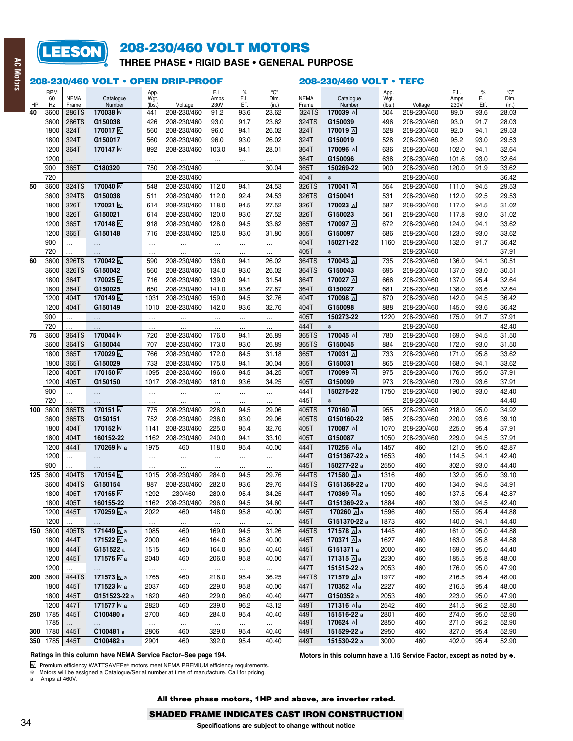# **LEESON**

# 208-230/460 VOLT MOTORS

THREE PHASE . RIGID BASE . GENERAL PURPOSE

# AC Motors

|                 |                        |                      | 208-230/460 VOLT • OPEN DRIP-PROOF |                        |                          |                      |                      |                      |                      | 208-230/460 VOLT • TEFC  |                        |             |                      |                      |                      |
|-----------------|------------------------|----------------------|------------------------------------|------------------------|--------------------------|----------------------|----------------------|----------------------|----------------------|--------------------------|------------------------|-------------|----------------------|----------------------|----------------------|
| HP              | <b>RPM</b><br>60<br>Hz | <b>NEMA</b><br>Frame | Catalogue<br>Number                | App.<br>Wgt.<br>(lbs.) | Voltage                  | F.L.<br>Amps<br>230V | $\%$<br>F.L.<br>Eff. | "C"<br>Dim.<br>(in.) | <b>NEMA</b><br>Frame | Catalogue<br>Number      | App.<br>Wgt.<br>(lbs.) | Voltage     | F.L.<br>Amps<br>230V | $\%$<br>F.L.<br>Eff. | "C"<br>Dim.<br>(in.) |
| $\overline{40}$ | 3600                   | 286TS                | 170038 <sub>M</sub>                | 441                    | 208-230/460              | 91.2                 | 93.6                 | 23.62                | 324TS                | 170039 w                 | 504                    | 208-230/460 | 89.0                 | 93.6                 | 28.03                |
|                 | 3600                   | 286TS                | G150038                            | 426                    | 208-230/460              | 93.0                 | 91.7                 | 23.62                | 324TS                | G150039                  | 496                    | 208-230/460 | 93.0                 | 91.7                 | 28.03                |
|                 | 1800                   | 324T                 | 170017 ₪                           | 560                    | 208-230/460              | 96.0                 | 94.1                 | 26.02                | 324T                 | 170019 w                 | 528                    | 208-230/460 | 92.0                 | 94.1                 | 29.53                |
|                 | 1800                   | 324T                 | G150017                            | 560                    | 208-230/460              | 96.0                 | 93.0                 | 26.02                | 324T                 | G150019                  | 528                    | 208-230/460 | 95.2                 | 93.0                 | 29.53                |
|                 | 1200                   | 364T                 | 170147                             | 892                    | 208-230/460              | 103.0                | 94.1                 | 28.01                | 364T                 | 170096 <sub>W</sub>      | 636                    | 208-230/460 | 102.0                | 94.1                 | 32.64                |
|                 | 1200                   |                      |                                    |                        |                          |                      |                      |                      | 364T                 | G150096                  | 638                    | 208-230/460 | 101.6                | 93.0                 | 32.64                |
|                 | 900                    | 365T                 | .<br>C180320                       | $\ldots$<br>750        | <br>208-230/460          | $\ldots$             | $\cdots$             | $\cdots$<br>30.04    | 365T                 | 150269-22                | 900                    | 208-230/460 | 120.0                | 91.9                 | 33.62                |
|                 | 720                    |                      |                                    |                        | 208-230/460              |                      |                      |                      | 404T                 |                          |                        | 208-230/460 |                      |                      | 36.42                |
| 50              | 3600                   | 324TS                | 170040                             | 548                    | 208-230/460              | 112.0                | 94.1                 | 24.53                | 326TS                | *<br>170041 <sub>W</sub> | 554                    | 208-230/460 | 111.0                | 94.5                 | 29.53                |
|                 | 3600                   | 324TS                | G150038                            | 511                    | 208-230/460              | 112.0                | 92.4                 | 24.53                | 326TS                | G150041                  | 531                    | 208-230/460 | 112.0                | 92.5                 | 29.53                |
|                 | 1800                   | 326T                 | 170021 ₪                           | 614                    | 208-230/460              | 118.0                | 94.5                 | 27.52                | 326T                 | 170023 W                 | 587                    | 208-230/460 | 117.0                | 94.5                 | 31.02                |
|                 | 1800                   | 326T                 | G150021                            | 614                    | 208-230/460              | 120.0                | 93.0                 | 27.52                | 326T                 | G150023                  | 561                    | 208-230/460 | 117.8                | 93.0                 | 31.02                |
|                 | 1200                   | 365T                 | 170148 <sub>M</sub>                | 918                    | 208-230/460              | 128.0                | 94.5                 | 33.62                | 365T                 | 170097 W                 | 672                    | 208-230/460 | 124.0                | 94.1                 | 33.62                |
|                 | 1200                   | 365T                 | G150148                            | 716                    | 208-230/460              | 125.0                | 93.0                 | 31.80                | 365T                 | G150097                  | 686                    | 208-230/460 | 123.0                | 93.0                 | 33.62                |
|                 | 900                    |                      |                                    |                        |                          |                      |                      |                      | 404T                 | 150271-22                | 1160                   | 208-230/460 | 132.0                | 91.7                 | 36.42                |
|                 | 720                    | $\cdots$             | $\cdots$                           | $\sim$                 | $\ddotsc$                | $\ldots$             | $\ddotsc$            | $\ddotsc$            | 405T                 | *                        |                        | 208-230/460 |                      |                      | 37.91                |
| 60              | 3600                   | 326TS                | $\ddotsc$<br>170042 図              | $\cdots$<br>590        | $\ddotsc$<br>208-230/460 | $\cdots$<br>136.0    | $\cdots$<br>94.1     | $\cdots$<br>26.02    | 364TS                | 170043 <sub>W</sub>      | 735                    | 208-230/460 | 136.0                | 94.1                 | 30.51                |
|                 | 3600                   | 326TS                | G150042                            | 560                    | 208-230/460              | 134.0                | 93.0                 | 26.02                | 364TS                | G150043                  | 695                    | 208-230/460 | 137.0                | 93.0                 | 30.51                |
|                 | 1800                   | 364T                 | 170025 ₪                           | 716                    | 208-230/460              | 139.0                | 94.1                 | 31.54                | 364T                 | 170027 W                 | 666                    | 208-230/460 | 137.0                | 95.4                 | 32.64                |
|                 | 1800                   | 364T                 | G150025                            | 650                    | 208-230/460              | 141.0                | 93.6                 | 27.87                | 364T                 | G150027                  | 681                    | 208-230/460 | 138.0                | 93.6                 | 32.64                |
|                 | 1200                   | 404T                 | 170149 ₪                           | 1031                   | 208-230/460              | 159.0                | 94.5                 | 32.76                | 404T                 | 170098 <sub>W</sub>      | 870                    | 208-230/460 | 142.0                | 94.5                 | 36.42                |
|                 | 1200                   | 404T                 | G150149                            | 1010                   | 208-230/460              | 142.0                | 93.6                 | 32.76                | 404T                 | G150098                  | 888                    | 208-230/460 | 145.0                | 93.6                 | 36.42                |
|                 | 900                    |                      |                                    |                        |                          |                      |                      |                      | 405T                 | 150273-22                | 1220                   | 208-230/460 | 175.0                | 91.7                 | 37.91                |
|                 | 720                    |                      | $\cdots$                           | $\sim$                 | $\ddotsc$                | $\ldots$             | $\ddotsc$            | $\ldots$             | 444T                 | *                        |                        | 208-230/460 |                      |                      | 42.40                |
| 75              | 3600                   | 364TS                | Ω,<br>170044 図                     | $\sim$<br>720          | $\ddotsc$<br>208-230/460 | $\cdots$<br>176.0    | $\cdots$<br>94.1     | $\cdots$<br>26.89    | 365TS                | 170045 <sub>W</sub>      | 780                    | 208-230/460 | 169.0                | 94.5                 | 31.50                |
|                 | 3600                   | 364TS                | G150044                            | 707                    | 208-230/460              | 173.0                | 93.0                 | 26.89                | 365TS                | G150045                  | 884                    | 208-230/460 | 172.0                | 93.0                 | 31.50                |
|                 | 1800                   | 365T                 | 170029 <sub>M</sub>                | 766                    | 208-230/460              | 172.0                | 84.5                 | 31.18                | 365T                 | 170031 W                 | 733                    | 208-230/460 | 171.0                | 95.8                 | 33.62                |
|                 | 1800                   | 365T                 | G150029                            | 733                    | 208-230/460              | 175.0                | 94.1                 | 30.04                | 365T                 | G150031                  | 865                    | 208-230/460 | 168.0                | 94.1                 | 33.62                |
|                 | 1200                   | 405T                 | 170150 ₪                           | 1095                   | 208-230/460              | 196.0                | 94.5                 | 34.25                | 405T                 | 170099 <sub>W</sub>      | 975                    | 208-230/460 | 176.0                | 95.0                 | 37.91                |
|                 | 1200                   | 405T                 | G150150                            | 1017                   | 208-230/460              | 181.0                | 93.6                 | 34.25                | 405T                 | G150099                  | 973                    | 208-230/460 | 179.0                | 93.6                 | 37.91                |
|                 | 900                    |                      |                                    |                        |                          |                      |                      |                      | 444T                 | 150275-22                | 1750                   | 208-230/460 | 190.0                | 93.0                 | 42.40                |
|                 | 720                    | $\cdots$             | $\ldots$                           | $\sim$                 | $\ddotsc$                | $\ldots$             | $\ddotsc$            | $\cdots$             | 445T                 | *                        |                        | 208-230/460 |                      |                      | 44.40                |
| 100             | 3600                   | 365TS                | $\ldots$<br>170151 ₪               | $\ldots$<br>775        | $\ddotsc$<br>208-230/460 | $\ldots$<br>226.0    | $\cdots$<br>94.5     | $\ddotsc$<br>29.06   | 405TS                | 170160 <sub>W</sub>      | 955                    | 208-230/460 | 218.0                | 95.0                 | 34.92                |
|                 | 3600                   | 365TS                | G150151                            | 752                    | 208-230/460              | 236.0                | 93.0                 | 29.06                | 405TS                | G150160-22               | 985                    | 208-230/460 | 220.0                | 93.6                 | 39.10                |
|                 | 1800                   | 404T                 | 170152 ₪                           | 1141                   | 208-230/460              | 225.0                | 95.4                 | 32.76                | 405T                 | 170087 W                 | 1070                   | 208-230/460 | 225.0                | 95.4                 | 37.91                |
|                 | 1800                   | 404T                 | 160152-22                          | 1162                   | 208-230/460              | 240.0                | 94.1                 | 33.10                | 405T                 | G150087                  | 1050                   | 208-230/460 | 229.0                | 94.5                 | 37.91                |
|                 | 1200                   | 444T                 | 170269 <b>Ma</b>                   | 1975                   | 460                      | 118.0                | 95.4                 | 40.00                | 444T                 | 170256 Wa                | 1457                   | 460         | 121.0                | 95.0                 | 42.87                |
|                 | 1200                   |                      | $\ldots$                           | $\sim$                 |                          |                      |                      |                      | 444T                 | G151367-22 a             | 1653                   | 460         | 114.5                | 94.1                 | 42.40                |
|                 | 900                    |                      | $\ldots$                           | $\cdots$               | $\ldots$<br>$\ddotsc$    | $\ldots$<br>$\ldots$ | $\ldots$<br>$\cdots$ | $\ldots$<br>$\ldots$ | 445T                 | 150277-22 a              | 2550                   | 460         | 302.0                | 93.0                 | 44.40                |
| 125             | 3600                   | 404TS                | 170154 <sub>M</sub>                | 1015                   | 208-230/460              | 284.0                | 94.5                 | 29.76                | 444TS                | 171580 Wa                | 1316                   | 460         | 132.0                | 95.0                 | 39.10                |
|                 | 3600                   | 404TS                | G150154                            | 987                    | 208-230/460              | 282.0                | 93.6                 | 29.76                | 444TS                | G151368-22 a             | 1700                   | 460         | 134.0                | 94.5                 | 34.91                |
|                 | 1800                   | 405T                 | 170155 <sub>M</sub>                | 1292                   | 230/460                  | 280.0                | 95.4                 | 34.25                | 444T                 | 170369 Wa                | 1950                   | 460         | 137.5                | 95.4                 | 42.87                |
|                 | 1800                   | 405T                 | 160155-22                          | 1162                   | 208-230/460              | 296.0                | 94.5                 | 34.60                | 444T                 | G151369-22 a             | 1884                   | 460         | 139.0                | 94.5                 | 42.40                |
|                 | 1200                   | 445T                 | 170259 <b>Ma</b>                   | 2022                   | 460                      | 148.0                | 95.8                 | 40.00                | 445T                 | 170260 <u>W</u> a        | 1596                   | 460         | 155.0                | 95.4                 | 44.88                |
|                 | 1200                   | $\cdots$             |                                    | $\cdots$               | $\ldots$                 | $\ldots$             | $\cdots$             | $\cdots$             | 445T                 | G151370-22 a             | 1873                   | 460         | 140.0                | 94.1                 | 44.40                |
|                 | 150 3600               | 405TS                | 171449 <b>W</b> a                  | 1085                   | 460                      | 169.0                | 94.5                 | 31.26                | 445TS                | 171578 Ma                | 1445                   | 460         | 161.0                | 95.0                 | 44.88                |
|                 | 1800                   | 444T                 | 171522 <b>M</b> a                  | 2000                   | 460                      | 164.0                | 95.8                 | 40.00                | 445T                 | 170371 Wa                | 1627                   | 460         | 163.0                | 95.8                 | 44.88                |
|                 | 1800                   | 444T                 | G151522 a                          | 1515                   | 460                      | 164.0                | 95.0                 | 40.40                | 445T                 | G151371 a                | 2000                   | 460         | 169.0                | 95.0                 | 44.40                |
|                 | 1200                   | 445T                 | 171576 <u>W</u> a                  | 2040                   | 460                      | 206.0                | 95.8                 | 40.00                | 447T                 | 171315 <b>Ma</b>         | 2230                   | 460         | 185.5                | 95.8                 | 48.00                |
|                 | 1200                   |                      | $\sim$                             | $\ldots$               | $\cdots$                 | $\cdots$             | $\cdots$             | $\ldots$             | 447T                 | 151515-22 a              | 2053                   | 460         | 176.0                | 95.0                 | 47.90                |
|                 | 200 3600               | 444TS                | 171573 <b>Ma</b>                   | 1765                   | 460                      | 216.0                | 95.4                 | 36.25                | 447TS                | 171579 Wa                | 1977                   | 460         | 216.5                | 95.4                 | 48.00                |
|                 | 1800                   | 445T                 | 171523 <b>Ma</b>                   | 2037                   | 460                      | 229.0                | 95.8                 | 40.00                | 447T                 | 170352 Wa                | 2227                   | 460         | 216.5                | 95.4                 | 48.00                |
|                 | 1800                   | 445T                 | G151523-22 a                       | 1620                   | 460                      | 229.0                | 96.0                 | 40.40                | 447T                 | G150352 a                | 2053                   | 460         | 223.0                | 95.0                 | 47.90                |
|                 | 1200                   | 447T                 | 171577 <b>W</b> a                  | 2820                   | 460                      | 239.0                | 96.2                 | 43.12                | 449T                 | 171316 Wa                | 2542                   | 460         | 241.5                | 96.2                 | 52.80                |
|                 | 250 1785               | 445T                 | C100480 a                          | 2700                   | 460                      | 284.0                | 95.4                 | 40.40                | 449T                 | 151516-22 a              | 2801                   | 460         | 274.0                | 95.0                 | 52.90                |
|                 | 1785                   |                      | $\cdots$                           | $\cdots$               | $\ldots$                 | $\ldots$             | $\ldots$             | $\cdots$             | 449T                 | 170624 W                 | 2850                   | 460         | 271.0                | 96.2                 | 52.90                |
| 300             | 1780                   | 445T                 | C100481 a                          | 2806                   | 460                      | 329.0                | 95.4                 | 40.40                | 449T                 | 151529-22 a              | 2950                   | 460         | 327.0                | 95.4                 | 52.90                |
|                 | 350 1785               | 445T                 | C100482 a                          | 2901                   | 460                      | 392.0                | 95.4                 | 40.40                | 449T                 | 151530-22 a              | 3000                   | 460         | 402.0                | 95.4                 | 52.90                |
|                 |                        |                      |                                    |                        |                          |                      |                      |                      |                      |                          |                        |             |                      |                      |                      |

# Ratings in this column have NEMA Service Factor-See page 194.

Motors in this column have a 1.15 Service Factor, except as noted by  $\clubsuit$ .

<sup>[W]</sup> Premium efficiency WATTSAVERe® motors meet NEMA PREMIUM efficiency requirements.<br>
<sup>®</sup> Motors will be assigned a Catalogue/Serial number at time of manufacture. Call for pricing.<br>
a Amps at 460V.

# All three phase motors, 1HP and above, are inverter rated.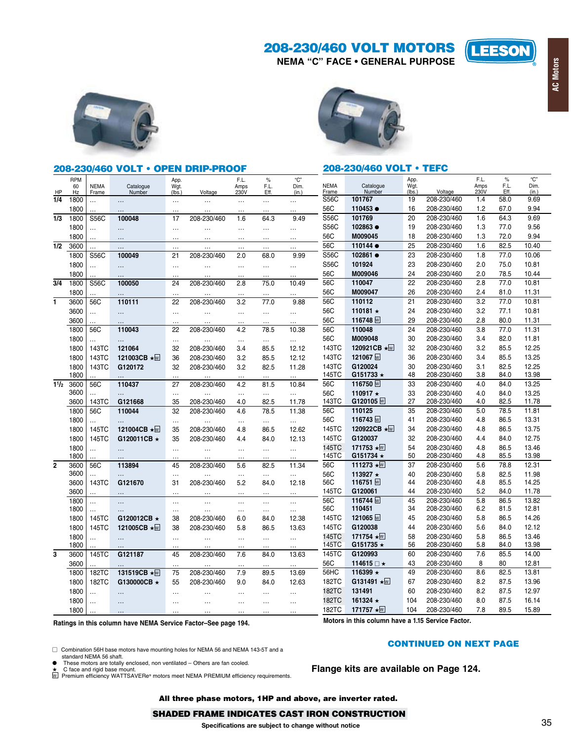# 208-230/460 VOLT MOTORS

**NEMA "C" FACE . GENERAL PURPOSE** 



**AC Motors** 





| 208-230/460 VOLT • OPEN DRIP-PROOF |                        |                        |                         |                        |                          |                             |                               |                      | 208-230/460 VOLT . TEFC |                             |                       |                            |                      |                      |                      |
|------------------------------------|------------------------|------------------------|-------------------------|------------------------|--------------------------|-----------------------------|-------------------------------|----------------------|-------------------------|-----------------------------|-----------------------|----------------------------|----------------------|----------------------|----------------------|
| HP                                 | <b>RPM</b><br>60<br>Hz | <b>NEMA</b><br>Frame   | Catalogue<br>Number     | App.<br>Wgt.<br>(lbs.) | Voltage                  | F.L.<br>Amps<br>230V        | $\frac{9}{6}$<br>F.L.<br>Eff. | "C"<br>Dim.<br>(in.) | <b>NEMA</b><br>Frame    | Catalogue<br>Number         | App.<br>Wgt.<br>(lbs. | Voltage                    | F.L.<br>Amps<br>230V | $\%$<br>F.L.<br>Eff. | "С"<br>Dim.<br>(in.) |
| 1/4                                | 1800                   | $\cdots$               | $\cdots$                | $\ldots$               | $\ldots$                 | $\cdots$                    | $\cdots$                      | $\cdots$             | <b>S56C</b>             | 101767                      | 19                    | 208-230/460                | 1.4                  | 58.0                 | 9.69                 |
|                                    | 1800                   | $\cdots$               | $\ddotsc$               | $\cdots$               | .                        |                             | $\cdots$                      |                      | 56C                     | 110453 ●                    | 16                    | 208-230/460                | 1.2                  | 67.0                 | 9.94                 |
| 1/3                                | 1800                   | <b>S56C</b>            | 100048                  | 17                     | 208-230/460              | 1.6                         | 64.3                          | 9.49                 | S56C                    | 101769                      | 20                    | 208-230/460                | 1.6                  | 64.3                 | 9.69                 |
|                                    | 1800                   | $\ddotsc$              | $\ldots$                | $\sim$                 | $\ddotsc$                | $\ldots$                    | $\ldots$                      | $\ldots$             | <b>S56C</b>             | 102863 ●                    | 19                    | 208-230/460                | 1.3                  | 77.0                 | 9.56                 |
|                                    | 1800                   | $\cdots$               | $\cdots$                | $\ddotsc$              | $\cdots$                 | $\cdots$                    | $\cdots$                      | $\cdots$             | 56C                     | M009045                     | 18                    | 208-230/460                | 1.3                  | 72.0                 | 9.94                 |
| 1/2                                | 3600                   | $\ddotsc$              | $\ddotsc$               | $\ddotsc$              | $\ddotsc$                | $\cdots$                    | $\cdots$                      |                      | 56C                     | 110144 ●                    | 25                    | 208-230/460                | 1.6                  | 82.5                 | 10.40                |
|                                    | 1800                   | <b>S56C</b>            | 100049                  | 21                     | 208-230/460              | 2.0                         | 68.0                          | 9.99                 | <b>S56C</b>             | 102861 ●                    | 23                    | 208-230/460                | 1.8                  | 77.0                 | 10.06                |
|                                    | 1800                   | $\cdots$               | $\cdots$                | $\ddotsc$              | $\ddotsc$                | $\cdots$                    | $\cdots$                      |                      | <b>S56C</b>             | 101924                      | 23                    | 208-230/460                | 2.0                  | 75.0                 | 10.81                |
|                                    | 1800                   |                        | $\ddotsc$               | $\ddotsc$              | .                        | $\cdots$                    | $\ddotsc$                     |                      | 56C                     | M009046                     | 24                    | 208-230/460                | 2.0                  | 78.5                 | 10.44                |
| 3/4                                | 1800                   | <b>S56C</b>            | 100050                  | 24                     | 208-230/460              | 2.8                         | 75.0                          | 10.49                | 56C                     | 110047                      | 22                    | 208-230/460                | 2.8                  | 77.0                 | 10.81                |
|                                    | 1800                   |                        |                         | $\ddotsc$              |                          |                             |                               |                      | 56C                     | M009047                     | 26                    | 208-230/460                | 2.4                  | 81.0                 | 11.31                |
| 1                                  | 3600                   | 56C                    | 110111                  | 22                     | 208-230/460              | 3.2                         | 77.0                          | 9.88                 | 56C                     | 110112                      | 21                    | 208-230/460                | 3.2                  | 77.0                 | 10.81                |
|                                    | 3600                   | $\cdots$               | $\ldots$                | $\ddotsc$              | $\ddotsc$                | $\cdots$                    | $\cdots$                      |                      | 56C                     | 110181 $\star$              | 24                    | 208-230/460                | 3.2                  | 77.1                 | 10.81                |
|                                    | 3600                   | $\cdots$               | $\cdots$                | .                      |                          | .                           | $\cdots$                      | .                    | 56C                     | 116748 w                    | 29                    | 208-230/460                | 2.8                  | 80.0                 | 11.31                |
|                                    | 1800                   | 56C                    | 110043                  | 22                     | 208-230/460              | 4.2                         | 78.5                          | 10.38                | 56C                     | 110048                      | 24                    | 208-230/460                | 3.8                  | 77.0                 | 11.31                |
|                                    | 1800                   | $\cdots$               | $\cdots$                | $\ldots$               |                          | $\cdots$                    | $\cdots$                      | $\cdots$             | 56C                     | M009048                     | 30                    | 208-230/460                | 3.4                  | 82.0                 | 11.81                |
|                                    | 1800                   | 143TC                  | 121064                  | 32                     | 208-230/460              | 3.4                         | 85.5                          | 12.12                | 143TC                   | 120921CB ★ <u>W</u>         | 32                    | 208-230/460                | 3.2                  | 85.5                 | 12.25                |
|                                    | 1800                   | 143TC                  | 121003CB ★ W            | 36                     | 208-230/460              | 3.2                         | 85.5                          | 12.12                | 143TC                   | 121067 w                    | 36                    | 208-230/460                | 3.4                  | 85.5                 | 13.25                |
|                                    | 1800                   | 143TC                  | G120172                 | 32                     | 208-230/460              | 3.2                         | 82.5                          | 11.28                | 143TC                   | G120024                     | 30                    | 208-230/460                | 3.1                  | 82.5                 | 12.25                |
|                                    | 1800                   | $\ddotsc$              | $\ddotsc$               | $\ddotsc$              |                          | $\ldots$                    | $\cdots$                      | $\cdots$             | 145TC                   | G151733 ★                   | 48                    | 208-230/460                | 3.8                  | 84.0                 | 13.98                |
| 11/2                               | 3600                   | 56C                    | 110437                  | 27                     | 208-230/460              | 4.2                         | 81.5                          | 10.84                | 56C                     | 116750 W                    | 33                    | 208-230/460                | 4.0                  | 84.0                 | 13.25                |
|                                    | 3600                   | $\ldots$               | $\cdots$                | $\ldots$               | $\ldots$                 | $\cdots$                    | $\sim$                        | $\cdots$             | 56C                     | 110917 $\star$              | 33                    | 208-230/460                | 4.0                  | 84.0                 | 13.25                |
|                                    | 3600                   | 143TC                  | G121668                 | 35                     | 208-230/460              | 4.0                         | 82.5                          | 11.78                | 143TC                   | G120105 W                   | 27                    | 208-230/460                | 4.0                  | 82.5                 | 11.78                |
|                                    | 1800                   | 56C                    | 110044                  | 32                     | 208-230/460              | 4.6                         | 78.5                          | 11.38                | 56C                     | 110125                      | 35                    | 208-230/460                | 5.0                  | 78.5                 | 11.81                |
|                                    | 1800                   | $\cdots$               | $\cdots$                | $\sim$ $\sim$          | $\ddotsc$                | $\cdots$                    | $\cdots$                      | $\cdots$             | 56C                     | 116743 W                    | 41                    | 208-230/460                | 4.8                  | 86.5                 | 13.31                |
|                                    | 1800                   | 145TC                  | 121004CB ★ <sub>W</sub> | 35                     | 208-230/460              | 4.8                         | 86.5                          | 12.62                | 145TC                   | 120922CB ★ W                | 34                    | 208-230/460                | 4.8                  | 86.5                 | 13.75                |
|                                    | 1800                   | 145TC                  | G120011CB ★             | 35                     | 208-230/460              | 4.4                         | 84.0                          | 12.13                | 145TC                   | G120037                     | 32                    | 208-230/460                | 4.4                  | 84.0                 | 12.75                |
|                                    | 1800                   | $\cdots$               | $\cdots$                | $\cdots$               | .                        | $\cdots$                    | $\cdots$                      | $\cdots$             | 145TC                   | $171753$ ★ $W$              | 54                    | 208-230/460                | 4.8                  | 86.5                 | 13.46                |
|                                    | 1800                   | $\cdots$               | $\ddotsc$               | $\ddotsc$              | $\ddotsc$                | $\cdots$                    | $\cdots$                      | $\cdots$             | 145TC                   | G151734 ★                   | 50                    | 208-230/460                | 4.8                  | 85.5                 | 13.98                |
| $\overline{2}$                     | 3600<br>3600           | 56C                    | 113894                  | 45                     | 208-230/460              | 5.6                         | 82.5                          | 11.34                | 56C                     | 111273 ★                    | 37                    | 208-230/460                | 5.6                  | 78.8                 | 12.31                |
|                                    |                        | $\ddotsc$              | $\cdots$                | $\sim$                 | $\ldots$                 | $\mathcal{L}_{\mathcal{A}}$ | $\ldots$                      | $\ldots$             | 56C<br>56C              | 113927 ★<br>116751 W        | 40<br>44              | 208-230/460<br>208-230/460 | 5.8<br>4.8           | 82.5<br>85.5         | 11.98<br>14.25       |
|                                    | 3600<br>3600           | 143TC                  | G121670                 | 31                     | 208-230/460              | 5.2                         | 84.0                          | 12.18                | 145TC                   | G120061                     | 44                    | 208-230/460                | 5.2                  | 84.0                 | 11.78                |
|                                    | 1800                   |                        | $\cdots$                | $\ldots$               | $\ldots$                 | $\cdots$                    | $\cdots$                      | $\cdots$             | 56C                     | 116744 W                    | 45                    | 208-230/460                | 5.8                  | 86.5                 | 13.82                |
|                                    | 1800                   | $\ddotsc$<br>$\ddotsc$ | $\cdots$<br>$\cdots$    | $\ldots$               | $\ddotsc$                | $\ddotsc$                   | $\ddotsc$                     | $\ddotsc$            | 56C                     | 110451                      | 34                    | 208-230/460                | 6.2                  | 81.5                 | 12.81                |
|                                    | 1800                   | 145TC                  | G120012CB ★             | $\cdots$<br>38         | $\ddotsc$<br>208-230/460 | $\ldots$<br>6.0             | $\cdots$<br>84.0              | $\cdots$<br>12.38    | 145TC                   | 121065 <sub>W</sub>         | 45                    | 208-230/460                | 5.8                  | 86.5                 | 14.26                |
|                                    | 1800                   | 145TC                  | 121005CB ★ M            | 38                     | 208-230/460              | 5.8                         | 86.5                          | 13.63                | 145TC                   | G120038                     | 44                    | 208-230/460                | 5.6                  | 84.0                 | 12.12                |
|                                    | 1800                   |                        |                         |                        |                          |                             |                               |                      | 145TC                   | 171754 ★w                   | 58                    | 208-230/460                | 5.8                  | 86.5                 | 13.46                |
|                                    | 1800                   | $\ddotsc$              | $\ddotsc$               | $\sim$ $\sim$<br>.     | $\cdots$                 | $\cdots$<br>.               | $\cdots$<br>.                 | $\cdots$<br>$\cdots$ | 145TC                   | G151735 ★                   | 56                    | 208-230/460                | 5.8                  | 84.0                 | 13.98                |
| 3                                  | 3600                   | 145TC                  | G121187                 | 45                     | 208-230/460              | 7.6                         | 84.0                          | 13.63                | 145TC                   | G120993                     | 60                    | 208-230/460                | 7.6                  | 85.5                 | 14.00                |
|                                    | 3600                   |                        |                         | $\cdots$               |                          | $\cdots$                    |                               |                      | 56C                     | 114615 □ ★                  | 43                    | 208-230/460                | 8                    | 80                   | 12.81                |
|                                    | 1800                   | 182TC                  | 131519CB ★M             | 75                     | 208-230/460              | 7.9                         | 89.5                          | 13.69                | 56HC                    | 116399 ★                    | 49                    | 208-230/460                | 8.6                  | 82.5                 | 13.81                |
|                                    | 1800                   | 182TC                  | G130000CB ★             | 55                     | 208-230/460              | 9.0                         | 84.0                          | 12.63                | 182TC                   | G131491 $\star\overline{w}$ | 67                    | 208-230/460                | 8.2                  | 87.5                 | 13.96                |
|                                    | 1800                   | $\ddotsc$              | $\cdots$                | $\cdots$               | .                        | $\cdots$                    | $\cdots$                      | $\cdots$             | 182TC                   | 131491                      | 60                    | 208-230/460                | 8.2                  | 87.5                 | 12.97                |
|                                    | 1800                   | $\ldots$               | $\ddotsc$               | $\ddotsc$              | $\ddotsc$                | .                           | $\cdots$                      | $\cdots$             | 182TC                   | 161324 ★                    | 104                   | 208-230/460                | 8.0                  | 87.5                 | 16.14                |
|                                    | 1800                   |                        |                         |                        |                          |                             |                               |                      | <b>182TC</b>            | 171757 ★w                   | 104                   | 208-230/460                | 7.8                  | 89.5                 | 15.89                |

Ratings in this column have NEMA Service Factor-See page 194.

Motors in this column have a 1.15 Service Factor.

□ Combination 56H base motors have mounting holes for NEMA 56 and NEMA 143-5T and a

standard NEMA 56 shaft. These motors are totally enclosed, non ventilated - Others are fan cooled.<br>C face and rigid base mount.  $\bullet$ 

★ C face and rigid base mount.<br>M Premium efficiency WATTSAVERe® motors meet NEMA PREMIUM efficiency requirements.

**CONTINUED ON NEXT PAGE** 

Flange kits are available on Page 124.

# All three phase motors, 1HP and above, are inverter rated.

# SHADED FRAME INDICATES CAST IRON CONSTRUCTION